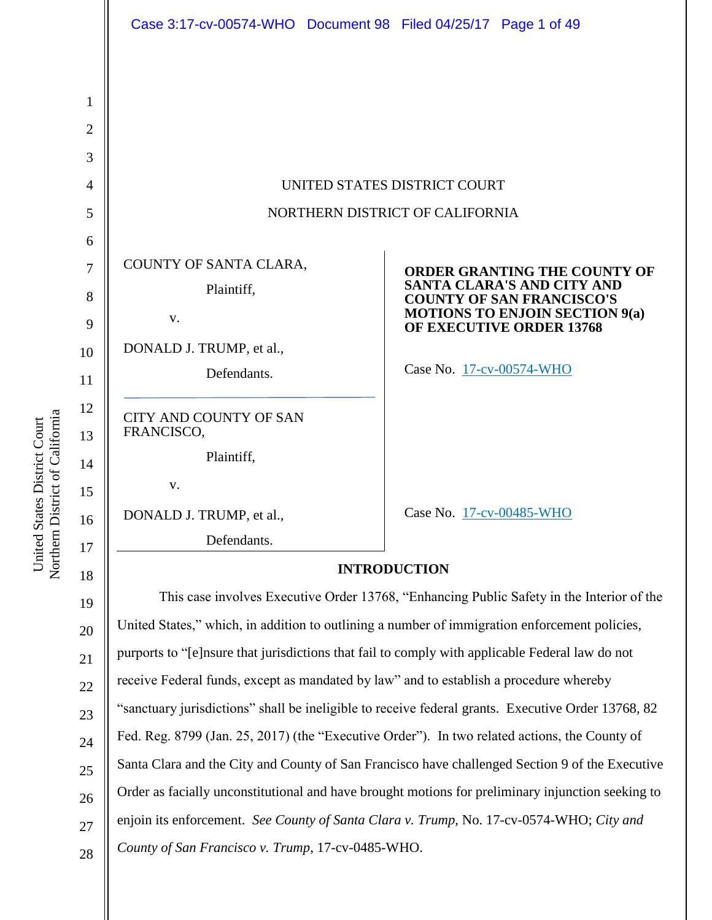| 1              |                                                                                                    |                                                                       |  |
|----------------|----------------------------------------------------------------------------------------------------|-----------------------------------------------------------------------|--|
| $\overline{2}$ |                                                                                                    |                                                                       |  |
| 3              |                                                                                                    |                                                                       |  |
| 4              | UNITED STATES DISTRICT COURT                                                                       |                                                                       |  |
| 5              | NORTHERN DISTRICT OF CALIFORNIA                                                                    |                                                                       |  |
| 6              |                                                                                                    |                                                                       |  |
| 7              | COUNTY OF SANTA CLARA,                                                                             | ORDER GRANTING THE COUNTY OF                                          |  |
| 8              | Plaintiff,                                                                                         | <b>SANTA CLARA'S AND CITY AND</b><br><b>COUNTY OF SAN FRANCISCO'S</b> |  |
| 9              | V.                                                                                                 | <b>MOTIONS TO ENJOIN SECTION 9(a)</b><br>OF EXECUTIVE ORDER 13768     |  |
| 10             | DONALD J. TRUMP, et al.,                                                                           |                                                                       |  |
| 11             | Defendants.                                                                                        | Case No. 17-cv-00574-WHO                                              |  |
| 12             | <b>CITY AND COUNTY OF SAN</b>                                                                      |                                                                       |  |
| 13             | FRANCISCO,                                                                                         |                                                                       |  |
| 14             | Plaintiff,                                                                                         |                                                                       |  |
| 15             | V.                                                                                                 |                                                                       |  |
| 16             | DONALD J. TRUMP, et al.,                                                                           | Case No. 17-cv-00485-WHO                                              |  |
| 17             | Defendants.                                                                                        |                                                                       |  |
| 18             | <b>INTRODUCTION</b>                                                                                |                                                                       |  |
| 19             | This case involves Executive Order 13768, "Enhancing Public Safety in the Interior of the          |                                                                       |  |
| 20             | United States," which, in addition to outlining a number of immigration enforcement policies,      |                                                                       |  |
| 21             | purports to "[e]nsure that jurisdictions that fail to comply with applicable Federal law do not    |                                                                       |  |
| 22             | receive Federal funds, except as mandated by law" and to establish a procedure whereby             |                                                                       |  |
| 23             | "sanctuary jurisdictions" shall be ineligible to receive federal grants. Executive Order 13768, 82 |                                                                       |  |
| 24             | Fed. Reg. 8799 (Jan. 25, 2017) (the "Executive Order"). In two related actions, the County of      |                                                                       |  |
| 25             | Santa Clara and the City and County of San Francisco have challenged Section 9 of the Executive    |                                                                       |  |
| 26             | Order as facially unconstitutional and have brought motions for preliminary injunction seeking to  |                                                                       |  |
| 27             | enjoin its enforcement. See County of Santa Clara v. Trump, No. 17-cv-0574-WHO; City and           |                                                                       |  |
| 28             | County of San Francisco v. Trump, 17-cv-0485-WHO.                                                  |                                                                       |  |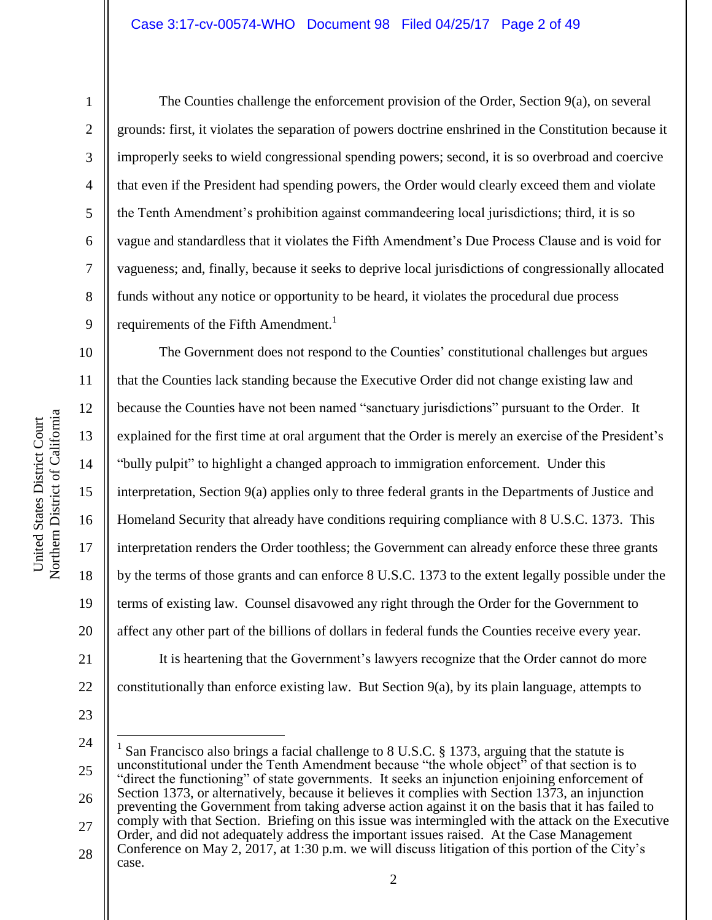Northern District of California Northern District of California United States District Court United States District Court

1

2

3

4

5

6

7

8

9

11

12

13

14

15

17

18

19

21

The Counties challenge the enforcement provision of the Order, Section 9(a), on several grounds: first, it violates the separation of powers doctrine enshrined in the Constitution because it improperly seeks to wield congressional spending powers; second, it is so overbroad and coercive that even if the President had spending powers, the Order would clearly exceed them and violate the Tenth Amendment's prohibition against commandeering local jurisdictions; third, it is so vague and standardless that it violates the Fifth Amendment's Due Process Clause and is void for vagueness; and, finally, because it seeks to deprive local jurisdictions of congressionally allocated funds without any notice or opportunity to be heard, it violates the procedural due process requirements of the Fifth Amendment.<sup>1</sup>

10 16 20 22 The Government does not respond to the Counties' constitutional challenges but argues that the Counties lack standing because the Executive Order did not change existing law and because the Counties have not been named "sanctuary jurisdictions" pursuant to the Order. It explained for the first time at oral argument that the Order is merely an exercise of the President's "bully pulpit" to highlight a changed approach to immigration enforcement. Under this interpretation, Section 9(a) applies only to three federal grants in the Departments of Justice and Homeland Security that already have conditions requiring compliance with 8 U.S.C. 1373. This interpretation renders the Order toothless; the Government can already enforce these three grants by the terms of those grants and can enforce 8 U.S.C. 1373 to the extent legally possible under the terms of existing law. Counsel disavowed any right through the Order for the Government to affect any other part of the billions of dollars in federal funds the Counties receive every year. It is heartening that the Government's lawyers recognize that the Order cannot do more constitutionally than enforce existing law. But Section 9(a), by its plain language, attempts to

23

 $\overline{a}$ 

<sup>24</sup>

<sup>25</sup> 26 27 1 San Francisco also brings a facial challenge to 8 U.S.C. § 1373, arguing that the statute is unconstitutional under the Tenth Amendment because "the whole object" of that section is to "direct the functioning" of state governments. It seeks an injunction enjoining enforcement of Section 1373, or alternatively, because it believes it complies with Section 1373, an injunction preventing the Government from taking adverse action against it on the basis that it has failed to comply with that Section. Briefing on this issue was intermingled with the attack on the Executive Order, and did not adequately address the important issues raised. At the Case Management Conference on May 2, 2017, at 1:30 p.m. we will discuss litigation of this portion of the City's

<sup>28</sup> case.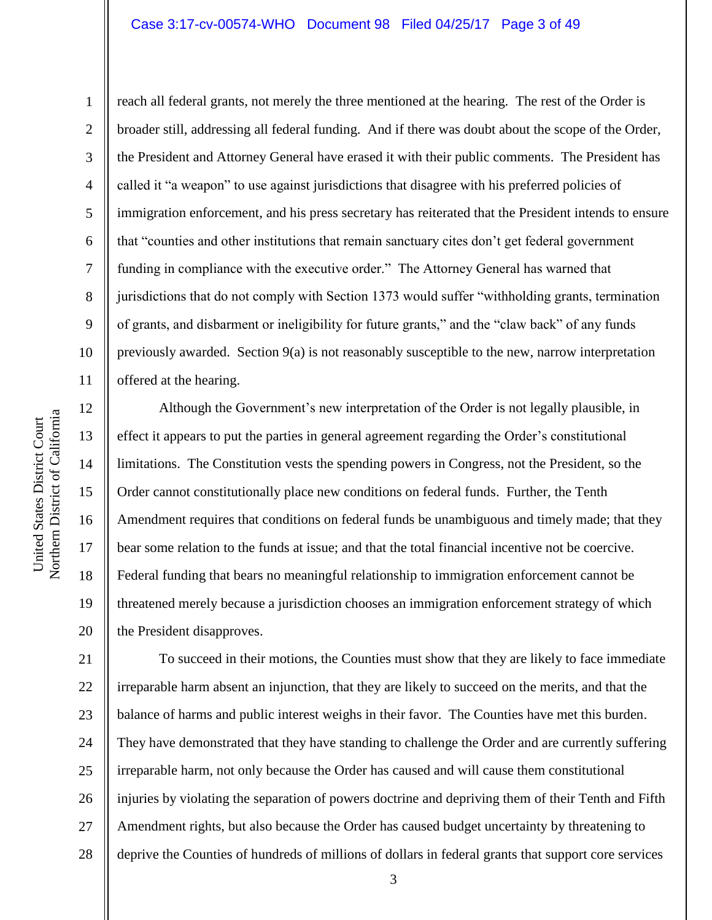#### Case 3:17-cv-00574-WHO Document 98 Filed 04/25/17 Page 3 of 49

1

2

3

4

5

6

7

8

9

10

11

reach all federal grants, not merely the three mentioned at the hearing. The rest of the Order is broader still, addressing all federal funding. And if there was doubt about the scope of the Order, the President and Attorney General have erased it with their public comments. The President has called it "a weapon" to use against jurisdictions that disagree with his preferred policies of immigration enforcement, and his press secretary has reiterated that the President intends to ensure that "counties and other institutions that remain sanctuary cites don't get federal government funding in compliance with the executive order." The Attorney General has warned that jurisdictions that do not comply with Section 1373 would suffer "withholding grants, termination of grants, and disbarment or ineligibility for future grants," and the "claw back" of any funds previously awarded. Section  $9(a)$  is not reasonably susceptible to the new, narrow interpretation offered at the hearing.

12 13 14 15 16 17 18 19 20 Although the Government's new interpretation of the Order is not legally plausible, in effect it appears to put the parties in general agreement regarding the Order's constitutional limitations. The Constitution vests the spending powers in Congress, not the President, so the Order cannot constitutionally place new conditions on federal funds. Further, the Tenth Amendment requires that conditions on federal funds be unambiguous and timely made; that they bear some relation to the funds at issue; and that the total financial incentive not be coercive. Federal funding that bears no meaningful relationship to immigration enforcement cannot be threatened merely because a jurisdiction chooses an immigration enforcement strategy of which the President disapproves.

21 22 23 24 25 26 27 28 To succeed in their motions, the Counties must show that they are likely to face immediate irreparable harm absent an injunction, that they are likely to succeed on the merits, and that the balance of harms and public interest weighs in their favor. The Counties have met this burden. They have demonstrated that they have standing to challenge the Order and are currently suffering irreparable harm, not only because the Order has caused and will cause them constitutional injuries by violating the separation of powers doctrine and depriving them of their Tenth and Fifth Amendment rights, but also because the Order has caused budget uncertainty by threatening to deprive the Counties of hundreds of millions of dollars in federal grants that support core services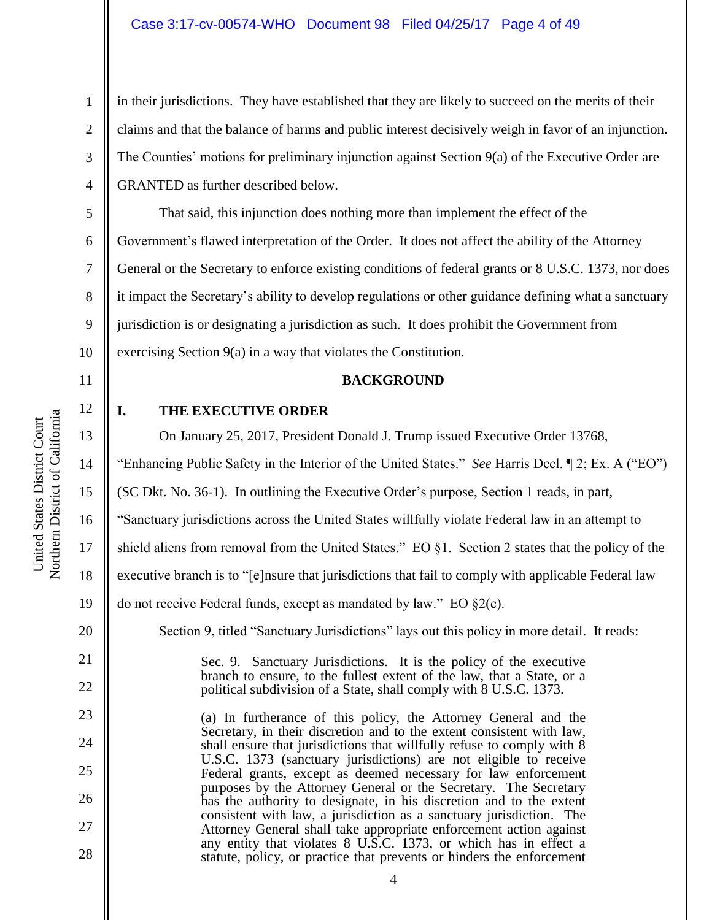in their jurisdictions. They have established that they are likely to succeed on the merits of their claims and that the balance of harms and public interest decisively weigh in favor of an injunction. The Counties' motions for preliminary injunction against Section 9(a) of the Executive Order are GRANTED as further described below.

5 6 7 8 9 10 That said, this injunction does nothing more than implement the effect of the Government's flawed interpretation of the Order. It does not affect the ability of the Attorney General or the Secretary to enforce existing conditions of federal grants or 8 U.S.C. 1373, nor does it impact the Secretary's ability to develop regulations or other guidance defining what a sanctuary jurisdiction is or designating a jurisdiction as such. It does prohibit the Government from exercising Section 9(a) in a way that violates the Constitution.

11

12

13

14

16

20

21

22

23

24

25

26

27

28

1

2

3

4

# **BACKGROUND**

**I. THE EXECUTIVE ORDER**

On January 25, 2017, President Donald J. Trump issued Executive Order 13768,

"Enhancing Public Safety in the Interior of the United States." *See* Harris Decl. ¶ 2; Ex. A ("EO")

15 (SC Dkt. No. 36-1). In outlining the Executive Order's purpose, Section 1 reads, in part,

"Sanctuary jurisdictions across the United States willfully violate Federal law in an attempt to

17 shield aliens from removal from the United States." EO §1. Section 2 states that the policy of the

18 executive branch is to "[e]nsure that jurisdictions that fail to comply with applicable Federal law

19 do not receive Federal funds, except as mandated by law." EO §2(c).

Section 9, titled "Sanctuary Jurisdictions" lays out this policy in more detail. It reads:

Sec. 9. Sanctuary Jurisdictions. It is the policy of the executive branch to ensure, to the fullest extent of the law, that a State, or a political subdivision of a State, shall comply with 8 U.S.C. 1373.

(a) In furtherance of this policy, the Attorney General and the Secretary, in their discretion and to the extent consistent with law, shall ensure that jurisdictions that willfully refuse to comply with 8 U.S.C. 1373 (sanctuary jurisdictions) are not eligible to receive Federal grants, except as deemed necessary for law enforcement purposes by the Attorney General or the Secretary. The Secretary has the authority to designate, in his discretion and to the extent consistent with law, a jurisdiction as a sanctuary jurisdiction. The Attorney General shall take appropriate enforcement action against any entity that violates 8 U.S.C. 1373, or which has in effect a statute, policy, or practice that prevents or hinders the enforcement

Northern District of California Northern District of California United States District Court United States District Court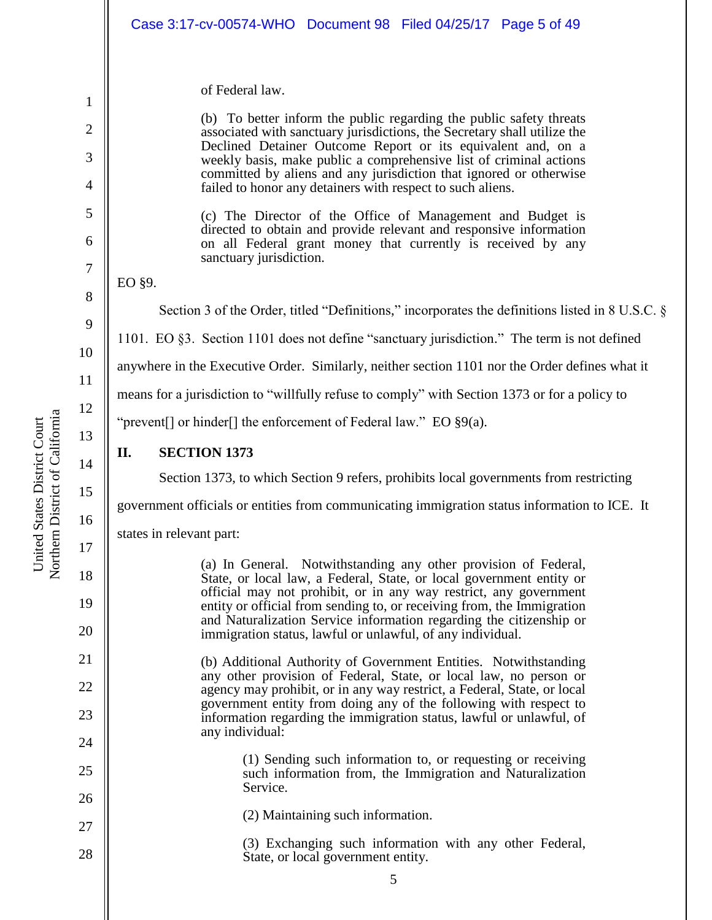|                                                                                                 | Case 3:17-cv-00574-WHO  Document 98  Filed 04/25/17  Page 5 of 49                                                                                                                                                                                                                                                                                                                                                                                                                                                                                                                                                                                                                     |  |  |
|-------------------------------------------------------------------------------------------------|---------------------------------------------------------------------------------------------------------------------------------------------------------------------------------------------------------------------------------------------------------------------------------------------------------------------------------------------------------------------------------------------------------------------------------------------------------------------------------------------------------------------------------------------------------------------------------------------------------------------------------------------------------------------------------------|--|--|
|                                                                                                 | of Federal law.<br>(b) To better inform the public regarding the public safety threats<br>associated with sanctuary jurisdictions, the Secretary shall utilize the<br>Declined Detainer Outcome Report or its equivalent and, on a<br>weekly basis, make public a comprehensive list of criminal actions<br>committed by aliens and any jurisdiction that ignored or otherwise<br>failed to honor any detainers with respect to such aliens.<br>(c) The Director of the Office of Management and Budget is<br>directed to obtain and provide relevant and responsive information<br>on all Federal grant money that currently is received by any<br>sanctuary jurisdiction.<br>EO §9. |  |  |
| Section 3 of the Order, titled "Definitions," incorporates the definitions listed in 8 U.S.C. § |                                                                                                                                                                                                                                                                                                                                                                                                                                                                                                                                                                                                                                                                                       |  |  |
|                                                                                                 | 1101. EO §3. Section 1101 does not define "sanctuary jurisdiction." The term is not defined                                                                                                                                                                                                                                                                                                                                                                                                                                                                                                                                                                                           |  |  |
| anywhere in the Executive Order. Similarly, neither section 1101 nor the Order defines what it  |                                                                                                                                                                                                                                                                                                                                                                                                                                                                                                                                                                                                                                                                                       |  |  |
| means for a jurisdiction to "willfully refuse to comply" with Section 1373 or for a policy to   |                                                                                                                                                                                                                                                                                                                                                                                                                                                                                                                                                                                                                                                                                       |  |  |
|                                                                                                 | "prevent[] or hinder[] the enforcement of Federal law." EO $\S9(a)$ .                                                                                                                                                                                                                                                                                                                                                                                                                                                                                                                                                                                                                 |  |  |
| II.                                                                                             | <b>SECTION 1373</b>                                                                                                                                                                                                                                                                                                                                                                                                                                                                                                                                                                                                                                                                   |  |  |
|                                                                                                 | Section 1373, to which Section 9 refers, prohibits local governments from restricting                                                                                                                                                                                                                                                                                                                                                                                                                                                                                                                                                                                                 |  |  |
|                                                                                                 | government officials or entities from communicating immigration status information to ICE. It                                                                                                                                                                                                                                                                                                                                                                                                                                                                                                                                                                                         |  |  |
|                                                                                                 | states in relevant part:                                                                                                                                                                                                                                                                                                                                                                                                                                                                                                                                                                                                                                                              |  |  |
|                                                                                                 | (a) In General. Notwithstanding any other provision of Federal,<br>State, or local law, a Federal, State, or local government entity or<br>official may not prohibit, or in any way restrict, any government<br>entity or official from sending to, or receiving from, the Immigration<br>and Naturalization Service information regarding the citizenship or<br>immigration status, lawful or unlawful, of any individual.                                                                                                                                                                                                                                                           |  |  |
|                                                                                                 | (b) Additional Authority of Government Entities. Notwithstanding<br>any other provision of Federal, State, or local law, no person or<br>agency may prohibit, or in any way restrict, a Federal, State, or local<br>government entity from doing any of the following with respect to<br>information regarding the immigration status, lawful or unlawful, of<br>any individual:                                                                                                                                                                                                                                                                                                      |  |  |
|                                                                                                 | (1) Sending such information to, or requesting or receiving<br>such information from, the Immigration and Naturalization<br>Service.                                                                                                                                                                                                                                                                                                                                                                                                                                                                                                                                                  |  |  |
| (2) Maintaining such information.                                                               |                                                                                                                                                                                                                                                                                                                                                                                                                                                                                                                                                                                                                                                                                       |  |  |
|                                                                                                 | (3) Exchanging such information with any other Federal,<br>State, or local government entity.                                                                                                                                                                                                                                                                                                                                                                                                                                                                                                                                                                                         |  |  |
|                                                                                                 | 5                                                                                                                                                                                                                                                                                                                                                                                                                                                                                                                                                                                                                                                                                     |  |  |
|                                                                                                 |                                                                                                                                                                                                                                                                                                                                                                                                                                                                                                                                                                                                                                                                                       |  |  |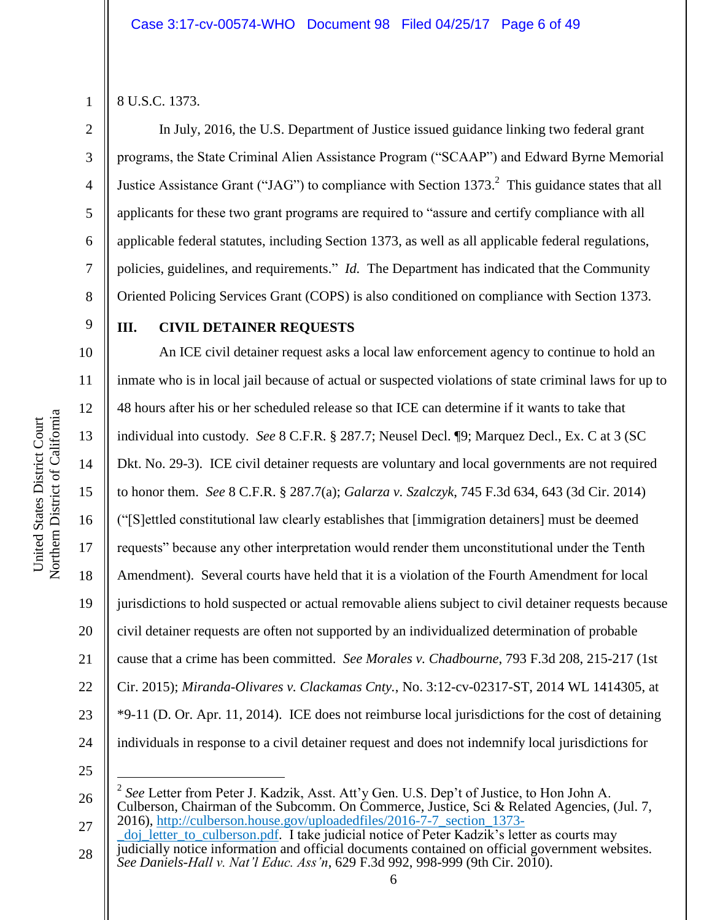1 2

3

4

5

6

7

8

9

10

11

12

13

14

15

16

17

18

19

20

21

22

23

24

8 U.S.C. 1373.

In July, 2016, the U.S. Department of Justice issued guidance linking two federal grant programs, the State Criminal Alien Assistance Program ("SCAAP") and Edward Byrne Memorial Justice Assistance Grant ("JAG") to compliance with Section 1373.<sup>2</sup> This guidance states that all applicants for these two grant programs are required to "assure and certify compliance with all applicable federal statutes, including Section 1373, as well as all applicable federal regulations, policies, guidelines, and requirements." *Id.* The Department has indicated that the Community Oriented Policing Services Grant (COPS) is also conditioned on compliance with Section 1373.

# **III. CIVIL DETAINER REQUESTS**

An ICE civil detainer request asks a local law enforcement agency to continue to hold an inmate who is in local jail because of actual or suspected violations of state criminal laws for up to 48 hours after his or her scheduled release so that ICE can determine if it wants to take that individual into custody. *See* 8 C.F.R. § 287.7; Neusel Decl. ¶9; Marquez Decl., Ex. C at 3 (SC Dkt. No. 29-3). ICE civil detainer requests are voluntary and local governments are not required to honor them. *See* 8 C.F.R. § 287.7(a); *Galarza v. Szalczyk*, 745 F.3d 634, 643 (3d Cir. 2014) ("[S]ettled constitutional law clearly establishes that [immigration detainers] must be deemed requests" because any other interpretation would render them unconstitutional under the Tenth Amendment). Several courts have held that it is a violation of the Fourth Amendment for local jurisdictions to hold suspected or actual removable aliens subject to civil detainer requests because civil detainer requests are often not supported by an individualized determination of probable cause that a crime has been committed. *See Morales v. Chadbourne*, 793 F.3d 208, 215-217 (1st Cir. 2015); *Miranda-Olivares v. Clackamas Cnty.*, No. 3:12-cv-02317-ST, 2014 WL 1414305, at \*9-11 (D. Or. Apr. 11, 2014). ICE does not reimburse local jurisdictions for the cost of detaining individuals in response to a civil detainer request and does not indemnify local jurisdictions for

25

 $\overline{a}$ 

Northern District of California Northern District of California United States District Court United States District Court

<sup>26</sup> 2 *See* Letter from Peter J. Kadzik, Asst. Att'y Gen. U.S. Dep't of Justice, to Hon John A. Culberson, Chairman of the Subcomm. On Commerce, Justice, Sci & Related Agencies, (Jul. 7, 2016), [http://culberson.house.gov/uploadedfiles/2016-7-7\\_section\\_1373-](http://culberson.house.gov/uploadedfiles/2016-7-7_section_1373-_doj_letter_to_culberson.pdf)

<sup>27</sup> 28 doj letter to culberson.pdf. I take judicial notice of Peter Kadzik's letter as courts may judicially notice information and official documents contained on official government websites. *See Daniels-Hall v. Nat'l Educ. Ass'n*, 629 F.3d 992, 998-999 (9th Cir. 2010).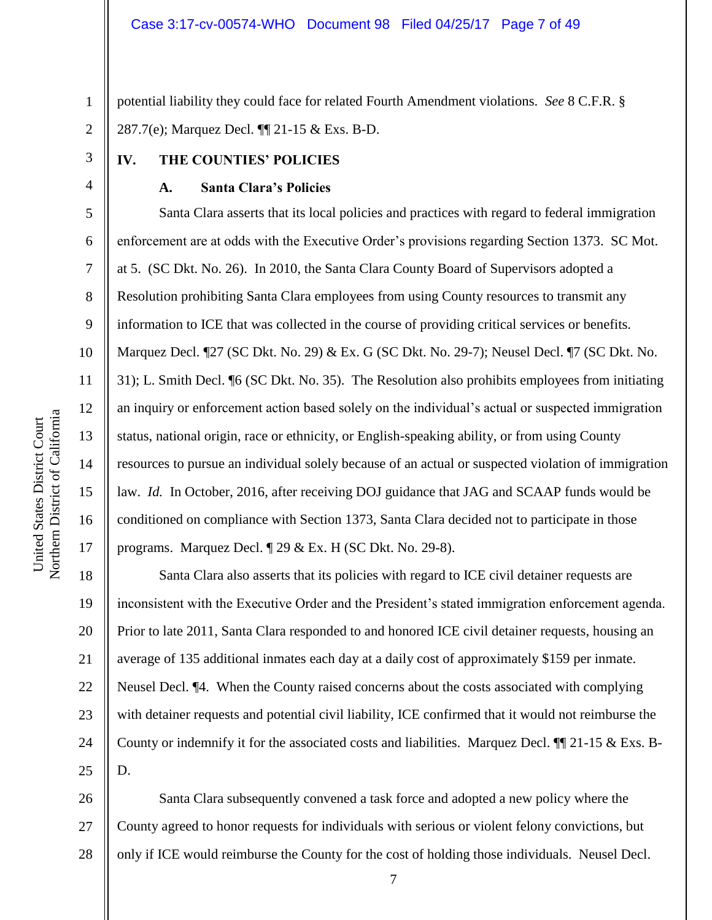potential liability they could face for related Fourth Amendment violations. *See* 8 C.F.R. § 287.7(e); Marquez Decl. ¶¶ 21-15 & Exs. B-D.

# **IV. THE COUNTIES' POLICIES**

#### **A. Santa Clara's Policies**

Santa Clara asserts that its local policies and practices with regard to federal immigration enforcement are at odds with the Executive Order's provisions regarding Section 1373. SC Mot. at 5. (SC Dkt. No. 26). In 2010, the Santa Clara County Board of Supervisors adopted a Resolution prohibiting Santa Clara employees from using County resources to transmit any information to ICE that was collected in the course of providing critical services or benefits. Marquez Decl. ¶27 (SC Dkt. No. 29) & Ex. G (SC Dkt. No. 29-7); Neusel Decl. ¶7 (SC Dkt. No. 31); L. Smith Decl. ¶6 (SC Dkt. No. 35). The Resolution also prohibits employees from initiating an inquiry or enforcement action based solely on the individual's actual or suspected immigration status, national origin, race or ethnicity, or English-speaking ability, or from using County resources to pursue an individual solely because of an actual or suspected violation of immigration law. *Id.* In October, 2016, after receiving DOJ guidance that JAG and SCAAP funds would be conditioned on compliance with Section 1373, Santa Clara decided not to participate in those programs. Marquez Decl. ¶ 29 & Ex. H (SC Dkt. No. 29-8).

18 19 20 21 22 23 24 25 Santa Clara also asserts that its policies with regard to ICE civil detainer requests are inconsistent with the Executive Order and the President's stated immigration enforcement agenda. Prior to late 2011, Santa Clara responded to and honored ICE civil detainer requests, housing an average of 135 additional inmates each day at a daily cost of approximately \$159 per inmate. Neusel Decl. ¶4. When the County raised concerns about the costs associated with complying with detainer requests and potential civil liability, ICE confirmed that it would not reimburse the County or indemnify it for the associated costs and liabilities. Marquez Decl.  $\P$  21-15 & Exs. B-D.

26 27 28 Santa Clara subsequently convened a task force and adopted a new policy where the County agreed to honor requests for individuals with serious or violent felony convictions, but only if ICE would reimburse the County for the cost of holding those individuals. Neusel Decl.

1

2

3

4

5

6

7

8

9

10

11

12

13

14

15

16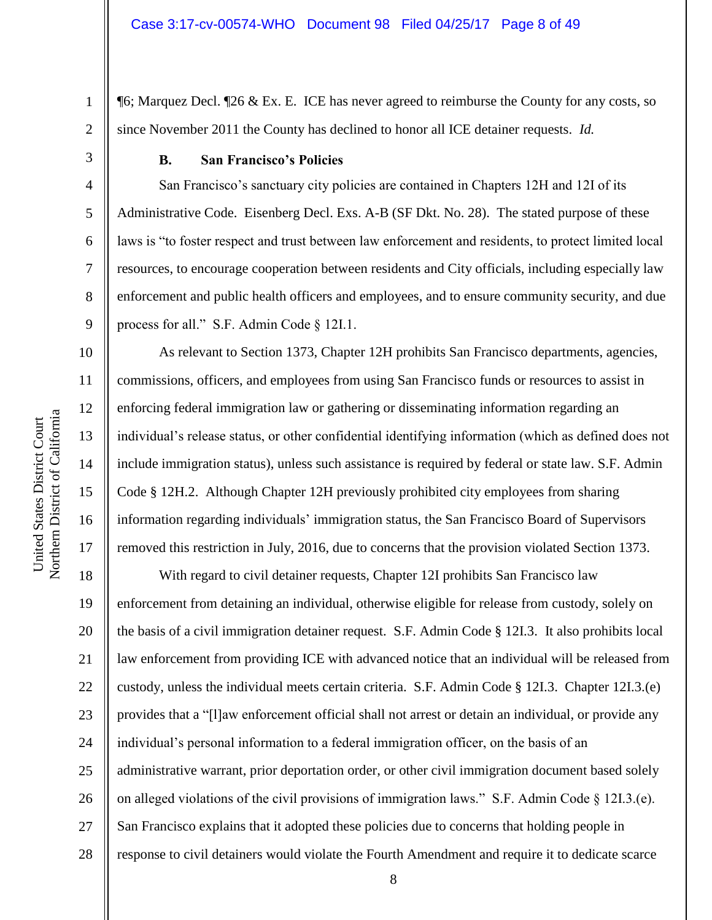¶6; Marquez Decl. ¶26 & Ex. E. ICE has never agreed to reimburse the County for any costs, so since November 2011 the County has declined to honor all ICE detainer requests. *Id.*

1

2

3

4

5

6

7

8

9

10

11

12

13

14

15

16

17

# **B. San Francisco's Policies**

San Francisco's sanctuary city policies are contained in Chapters 12H and 12I of its Administrative Code. Eisenberg Decl. Exs. A-B (SF Dkt. No. 28). The stated purpose of these laws is "to foster respect and trust between law enforcement and residents, to protect limited local resources, to encourage cooperation between residents and City officials, including especially law enforcement and public health officers and employees, and to ensure community security, and due process for all." S.F. Admin Code § 12I.1.

As relevant to Section 1373, Chapter 12H prohibits San Francisco departments, agencies, commissions, officers, and employees from using San Francisco funds or resources to assist in enforcing federal immigration law or gathering or disseminating information regarding an individual's release status, or other confidential identifying information (which as defined does not include immigration status), unless such assistance is required by federal or state law. S.F. Admin Code § 12H.2. Although Chapter 12H previously prohibited city employees from sharing information regarding individuals' immigration status, the San Francisco Board of Supervisors removed this restriction in July, 2016, due to concerns that the provision violated Section 1373.

18 19 20 21 22 23 24 25 26 27 28 With regard to civil detainer requests, Chapter 12I prohibits San Francisco law enforcement from detaining an individual, otherwise eligible for release from custody, solely on the basis of a civil immigration detainer request. S.F. Admin Code § 12I.3. It also prohibits local law enforcement from providing ICE with advanced notice that an individual will be released from custody, unless the individual meets certain criteria. S.F. Admin Code § 12I.3. Chapter 12I.3.(e) provides that a "[l]aw enforcement official shall not arrest or detain an individual, or provide any individual's personal information to a federal immigration officer, on the basis of an administrative warrant, prior deportation order, or other civil immigration document based solely on alleged violations of the civil provisions of immigration laws." S.F. Admin Code § 12I.3.(e). San Francisco explains that it adopted these policies due to concerns that holding people in response to civil detainers would violate the Fourth Amendment and require it to dedicate scarce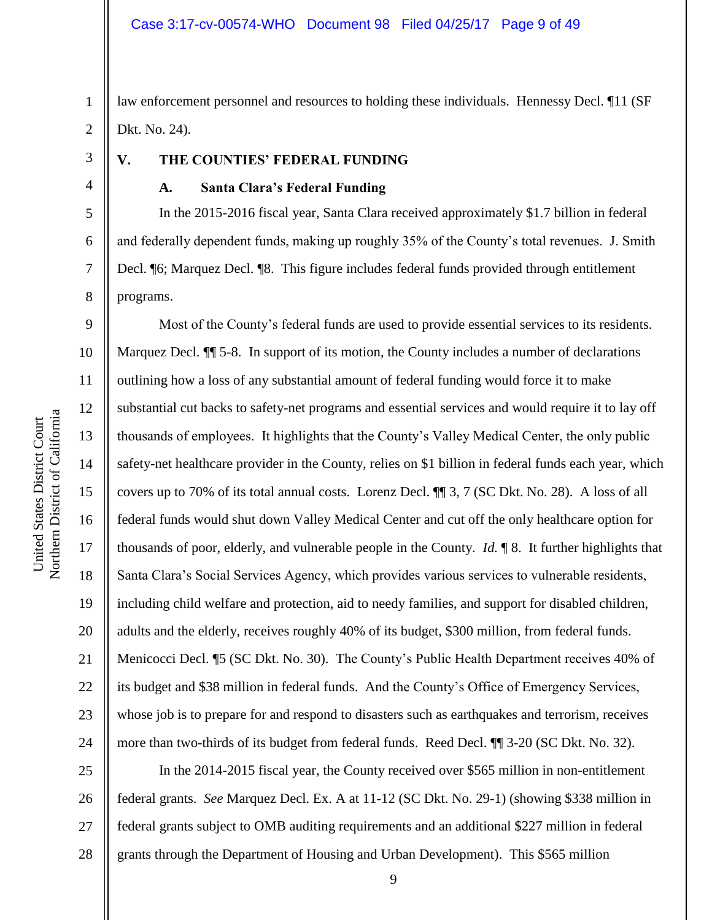1 2 law enforcement personnel and resources to holding these individuals. Hennessy Decl. ¶11 (SF Dkt. No. 24).

3

4

5

6

7

8

# **V. THE COUNTIES' FEDERAL FUNDING**

# **A. Santa Clara's Federal Funding**

In the 2015-2016 fiscal year, Santa Clara received approximately \$1.7 billion in federal and federally dependent funds, making up roughly 35% of the County's total revenues. J. Smith Decl. ¶6; Marquez Decl. ¶8. This figure includes federal funds provided through entitlement programs.

9 10 11 12 13 14 15 16 17 18 19 20 21 22 23 24 Most of the County's federal funds are used to provide essential services to its residents. Marquez Decl.  $\P$  5-8. In support of its motion, the County includes a number of declarations outlining how a loss of any substantial amount of federal funding would force it to make substantial cut backs to safety-net programs and essential services and would require it to lay off thousands of employees. It highlights that the County's Valley Medical Center, the only public safety-net healthcare provider in the County, relies on \$1 billion in federal funds each year, which covers up to 70% of its total annual costs. Lorenz Decl. ¶¶ 3, 7 (SC Dkt. No. 28). A loss of all federal funds would shut down Valley Medical Center and cut off the only healthcare option for thousands of poor, elderly, and vulnerable people in the County. *Id.* ¶ 8. It further highlights that Santa Clara's Social Services Agency, which provides various services to vulnerable residents, including child welfare and protection, aid to needy families, and support for disabled children, adults and the elderly, receives roughly 40% of its budget, \$300 million, from federal funds. Menicocci Decl. ¶5 (SC Dkt. No. 30). The County's Public Health Department receives 40% of its budget and \$38 million in federal funds. And the County's Office of Emergency Services, whose job is to prepare for and respond to disasters such as earthquakes and terrorism, receives more than two-thirds of its budget from federal funds. Reed Decl. ¶¶ 3-20 (SC Dkt. No. 32).

25 26 27 28 In the 2014-2015 fiscal year, the County received over \$565 million in non-entitlement federal grants. *See* Marquez Decl. Ex. A at 11-12 (SC Dkt. No. 29-1) (showing \$338 million in federal grants subject to OMB auditing requirements and an additional \$227 million in federal grants through the Department of Housing and Urban Development). This \$565 million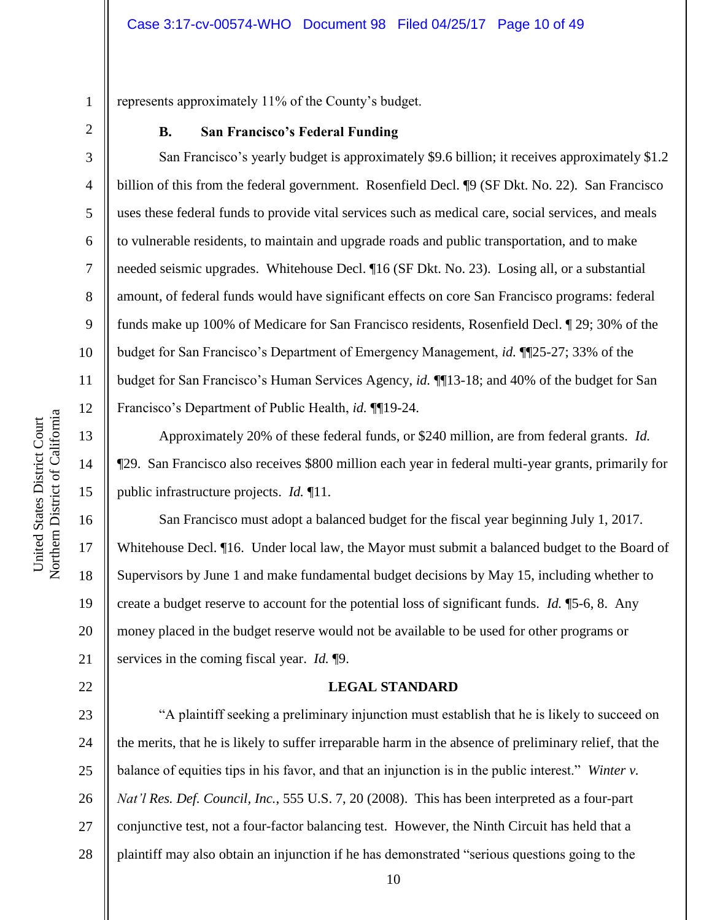represents approximately 11% of the County's budget.

1

2

3

4

5

6

7

8

9

10

11

12

13

14

15

16

17

18

19

20

21

22

# **B. San Francisco's Federal Funding**

San Francisco's yearly budget is approximately \$9.6 billion; it receives approximately \$1.2 billion of this from the federal government. Rosenfield Decl. ¶9 (SF Dkt. No. 22). San Francisco uses these federal funds to provide vital services such as medical care, social services, and meals to vulnerable residents, to maintain and upgrade roads and public transportation, and to make needed seismic upgrades. Whitehouse Decl. ¶16 (SF Dkt. No. 23). Losing all, or a substantial amount, of federal funds would have significant effects on core San Francisco programs: federal funds make up 100% of Medicare for San Francisco residents, Rosenfield Decl. ¶ 29; 30% of the budget for San Francisco's Department of Emergency Management, *id.* ¶¶25-27; 33% of the budget for San Francisco's Human Services Agency, *id.* ¶¶13-18; and 40% of the budget for San Francisco's Department of Public Health, *id.* ¶¶19-24.

Approximately 20% of these federal funds, or \$240 million, are from federal grants. *Id.* ¶29. San Francisco also receives \$800 million each year in federal multi-year grants, primarily for public infrastructure projects. *Id.* ¶11.

San Francisco must adopt a balanced budget for the fiscal year beginning July 1, 2017. Whitehouse Decl.  $\P$ 16. Under local law, the Mayor must submit a balanced budget to the Board of Supervisors by June 1 and make fundamental budget decisions by May 15, including whether to create a budget reserve to account for the potential loss of significant funds. *Id.* ¶5-6, 8. Any money placed in the budget reserve would not be available to be used for other programs or services in the coming fiscal year. *Id.* ¶9.

#### **LEGAL STANDARD**

23 24 25 26 27 28 "A plaintiff seeking a preliminary injunction must establish that he is likely to succeed on the merits, that he is likely to suffer irreparable harm in the absence of preliminary relief, that the balance of equities tips in his favor, and that an injunction is in the public interest." *Winter v. Nat'l Res. Def. Council, Inc.*, 555 U.S. 7, 20 (2008). This has been interpreted as a four-part conjunctive test, not a four-factor balancing test. However, the Ninth Circuit has held that a plaintiff may also obtain an injunction if he has demonstrated "serious questions going to the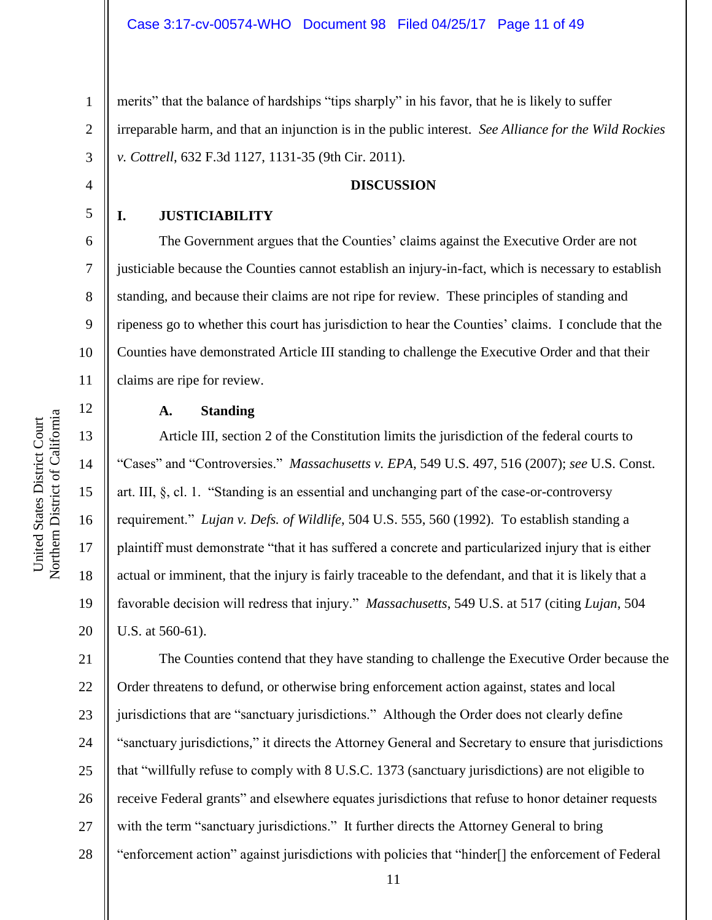1 2 3 merits" that the balance of hardships "tips sharply" in his favor, that he is likely to suffer irreparable harm, and that an injunction is in the public interest. *See Alliance for the Wild Rockies v. Cottrell*, 632 F.3d 1127, 1131-35 (9th Cir. 2011).

# **DISCUSSION**

#### **I. JUSTICIABILITY**

4

5

6

7

8

9

10

11

12

13

14

15

16

17

18

19

20

The Government argues that the Counties' claims against the Executive Order are not justiciable because the Counties cannot establish an injury-in-fact, which is necessary to establish standing, and because their claims are not ripe for review. These principles of standing and ripeness go to whether this court has jurisdiction to hear the Counties' claims. I conclude that the Counties have demonstrated Article III standing to challenge the Executive Order and that their claims are ripe for review.

### **A. Standing**

Article III, section 2 of the Constitution limits the jurisdiction of the federal courts to "Cases" and "Controversies." *Massachusetts v. EPA*, 549 U.S. 497, 516 (2007); *see* U.S. Const. art. III, §, cl. 1. "Standing is an essential and unchanging part of the case-or-controversy requirement." *Lujan v. Defs. of Wildlife*, 504 U.S. 555, 560 (1992). To establish standing a plaintiff must demonstrate "that it has suffered a concrete and particularized injury that is either actual or imminent, that the injury is fairly traceable to the defendant, and that it is likely that a favorable decision will redress that injury." *Massachusetts*, 549 U.S. at 517 (citing *Lujan*, 504 U.S. at 560-61).

21 22 23 24 25 26 27 28 The Counties contend that they have standing to challenge the Executive Order because the Order threatens to defund, or otherwise bring enforcement action against, states and local jurisdictions that are "sanctuary jurisdictions." Although the Order does not clearly define "sanctuary jurisdictions," it directs the Attorney General and Secretary to ensure that jurisdictions that "willfully refuse to comply with 8 U.S.C. 1373 (sanctuary jurisdictions) are not eligible to receive Federal grants" and elsewhere equates jurisdictions that refuse to honor detainer requests with the term "sanctuary jurisdictions." It further directs the Attorney General to bring "enforcement action" against jurisdictions with policies that "hinder[] the enforcement of Federal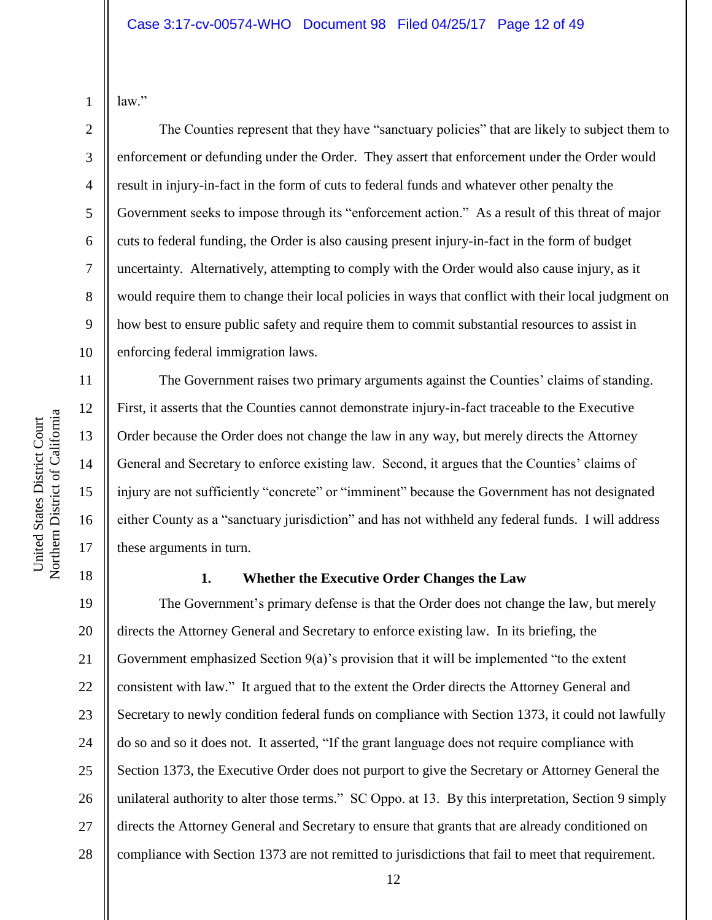law."

1

2

3

4

5

6

7

8

9

10

11

12

13

14

15

16

17

The Counties represent that they have "sanctuary policies" that are likely to subject them to enforcement or defunding under the Order. They assert that enforcement under the Order would result in injury-in-fact in the form of cuts to federal funds and whatever other penalty the Government seeks to impose through its "enforcement action." As a result of this threat of major cuts to federal funding, the Order is also causing present injury-in-fact in the form of budget uncertainty. Alternatively, attempting to comply with the Order would also cause injury, as it would require them to change their local policies in ways that conflict with their local judgment on how best to ensure public safety and require them to commit substantial resources to assist in enforcing federal immigration laws.

The Government raises two primary arguments against the Counties' claims of standing. First, it asserts that the Counties cannot demonstrate injury-in-fact traceable to the Executive Order because the Order does not change the law in any way, but merely directs the Attorney General and Secretary to enforce existing law. Second, it argues that the Counties' claims of injury are not sufficiently "concrete" or "imminent" because the Government has not designated either County as a "sanctuary jurisdiction" and has not withheld any federal funds. I will address these arguments in turn.

18

# **1. Whether the Executive Order Changes the Law**

19 20 21 22 23 24 25 26 27 28 The Government's primary defense is that the Order does not change the law, but merely directs the Attorney General and Secretary to enforce existing law. In its briefing, the Government emphasized Section  $9(a)$ 's provision that it will be implemented "to the extent" consistent with law." It argued that to the extent the Order directs the Attorney General and Secretary to newly condition federal funds on compliance with Section 1373, it could not lawfully do so and so it does not. It asserted, "If the grant language does not require compliance with Section 1373, the Executive Order does not purport to give the Secretary or Attorney General the unilateral authority to alter those terms." SC Oppo. at 13. By this interpretation, Section 9 simply directs the Attorney General and Secretary to ensure that grants that are already conditioned on compliance with Section 1373 are not remitted to jurisdictions that fail to meet that requirement.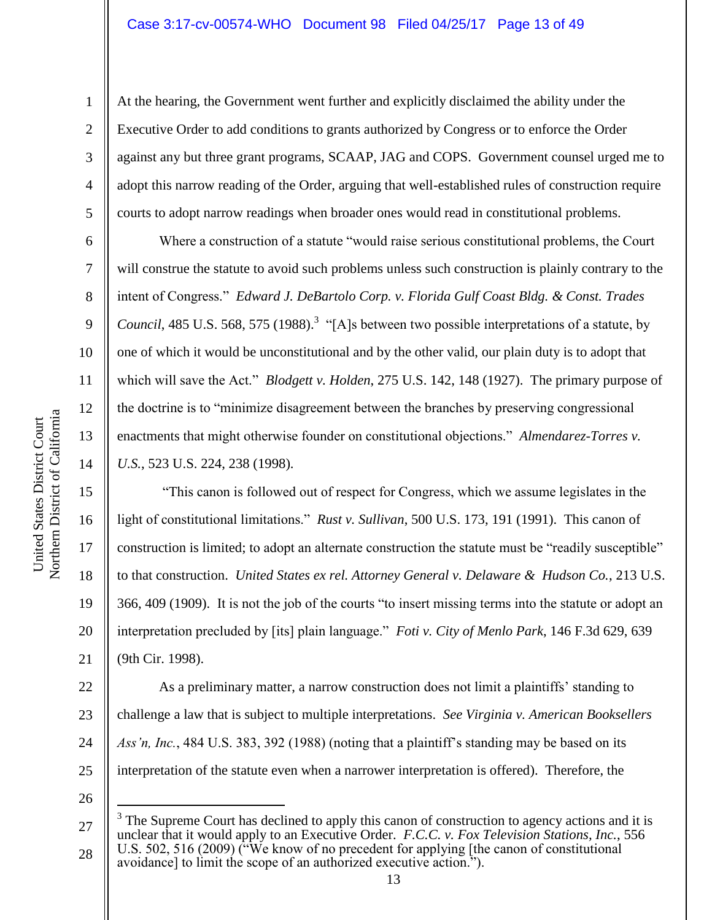At the hearing, the Government went further and explicitly disclaimed the ability under the Executive Order to add conditions to grants authorized by Congress or to enforce the Order against any but three grant programs, SCAAP, JAG and COPS. Government counsel urged me to adopt this narrow reading of the Order, arguing that well-established rules of construction require courts to adopt narrow readings when broader ones would read in constitutional problems.

Where a construction of a statute "would raise serious constitutional problems, the Court will construe the statute to avoid such problems unless such construction is plainly contrary to the intent of Congress." *Edward J. DeBartolo Corp. v. Florida Gulf Coast Bldg. & Const. Trades*  Council, 485 U.S. 568, 575 (1988).<sup>3</sup> "[A]s between two possible interpretations of a statute, by one of which it would be unconstitutional and by the other valid, our plain duty is to adopt that which will save the Act." *Blodgett v. Holden*, 275 U.S. 142, 148 (1927). The primary purpose of the doctrine is to "minimize disagreement between the branches by preserving congressional enactments that might otherwise founder on constitutional objections." *Almendarez-Torres v. U.S.*, 523 U.S. 224, 238 (1998).

16 20 "This canon is followed out of respect for Congress, which we assume legislates in the light of constitutional limitations." *Rust v. Sullivan*, 500 U.S. 173, 191 (1991). This canon of construction is limited; to adopt an alternate construction the statute must be "readily susceptible" to that construction. *United States ex rel. Attorney General v. Delaware & Hudson Co.*, 213 U.S. 366, 409 (1909). It is not the job of the courts "to insert missing terms into the statute or adopt an interpretation precluded by [its] plain language." *Foti v. City of Menlo Park*, 146 F.3d 629, 639 (9th Cir. 1998).

22 23 24 25 As a preliminary matter, a narrow construction does not limit a plaintiffs' standing to challenge a law that is subject to multiple interpretations. *See Virginia v. American Booksellers Ass'n, Inc.*, 484 U.S. 383, 392 (1988) (noting that a plaintiff's standing may be based on its interpretation of the statute even when a narrower interpretation is offered). Therefore, the

26

 $\overline{a}$ 

1

2

3

4

5

6

7

8

9

10

11

12

13

14

15

17

18

19

<sup>27</sup> 28 3 The Supreme Court has declined to apply this canon of construction to agency actions and it is unclear that it would apply to an Executive Order. *F.C.C. v. Fox Television Stations, Inc.*, 556 U.S. 502, 516 (2009) ("We know of no precedent for applying [the canon of constitutional avoidance] to limit the scope of an authorized executive action.").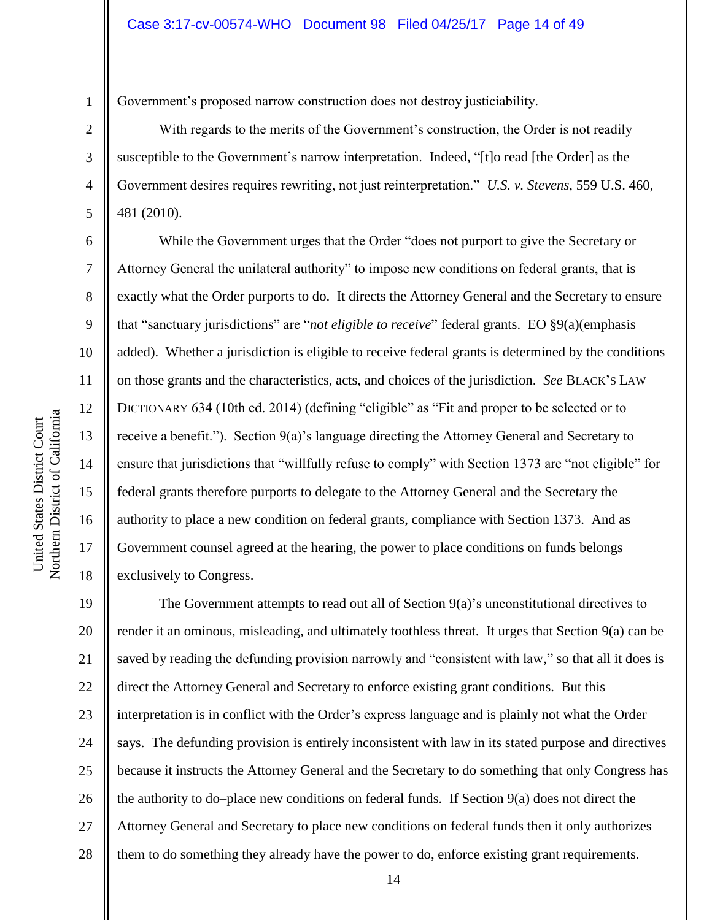Government's proposed narrow construction does not destroy justiciability.

With regards to the merits of the Government's construction, the Order is not readily susceptible to the Government's narrow interpretation. Indeed, "[t]o read [the Order] as the Government desires requires rewriting, not just reinterpretation." *U.S. v. Stevens*, 559 U.S. 460, 481 (2010).

While the Government urges that the Order "does not purport to give the Secretary or Attorney General the unilateral authority" to impose new conditions on federal grants, that is exactly what the Order purports to do. It directs the Attorney General and the Secretary to ensure that "sanctuary jurisdictions" are "*not eligible to receive*" federal grants. EO §9(a)(emphasis added). Whether a jurisdiction is eligible to receive federal grants is determined by the conditions on those grants and the characteristics, acts, and choices of the jurisdiction. *See* BLACK'S LAW DICTIONARY 634 (10th ed. 2014) (defining "eligible" as "Fit and proper to be selected or to receive a benefit."). Section 9(a)'s language directing the Attorney General and Secretary to ensure that jurisdictions that "willfully refuse to comply" with Section 1373 are "not eligible" for federal grants therefore purports to delegate to the Attorney General and the Secretary the authority to place a new condition on federal grants, compliance with Section 1373. And as Government counsel agreed at the hearing, the power to place conditions on funds belongs exclusively to Congress.

19 20 21 22 23 24 25 26 27 28 The Government attempts to read out all of Section 9(a)'s unconstitutional directives to render it an ominous, misleading, and ultimately toothless threat. It urges that Section 9(a) can be saved by reading the defunding provision narrowly and "consistent with law," so that all it does is direct the Attorney General and Secretary to enforce existing grant conditions. But this interpretation is in conflict with the Order's express language and is plainly not what the Order says. The defunding provision is entirely inconsistent with law in its stated purpose and directives because it instructs the Attorney General and the Secretary to do something that only Congress has the authority to do–place new conditions on federal funds. If Section 9(a) does not direct the Attorney General and Secretary to place new conditions on federal funds then it only authorizes them to do something they already have the power to do, enforce existing grant requirements.

1

2

3

4

5

6

7

8

9

10

11

12

13

14

15

16

17

18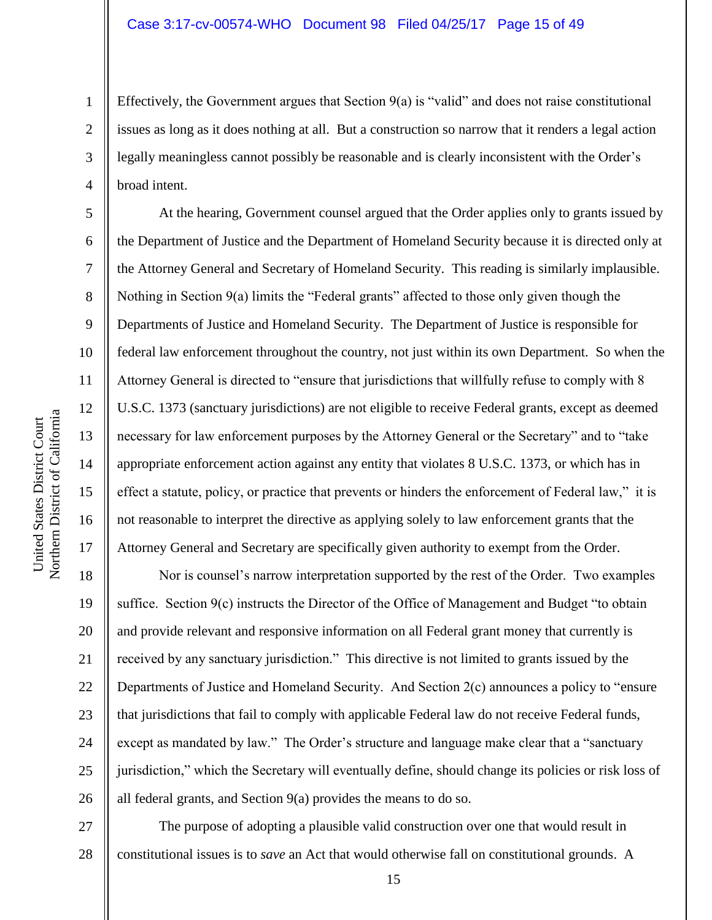Effectively, the Government argues that Section  $9(a)$  is "valid" and does not raise constitutional issues as long as it does nothing at all. But a construction so narrow that it renders a legal action legally meaningless cannot possibly be reasonable and is clearly inconsistent with the Order's broad intent.

At the hearing, Government counsel argued that the Order applies only to grants issued by the Department of Justice and the Department of Homeland Security because it is directed only at the Attorney General and Secretary of Homeland Security. This reading is similarly implausible. Nothing in Section 9(a) limits the "Federal grants" affected to those only given though the Departments of Justice and Homeland Security. The Department of Justice is responsible for federal law enforcement throughout the country, not just within its own Department. So when the Attorney General is directed to "ensure that jurisdictions that willfully refuse to comply with 8 U.S.C. 1373 (sanctuary jurisdictions) are not eligible to receive Federal grants, except as deemed necessary for law enforcement purposes by the Attorney General or the Secretary" and to "take appropriate enforcement action against any entity that violates 8 U.S.C. 1373, or which has in effect a statute, policy, or practice that prevents or hinders the enforcement of Federal law," it is not reasonable to interpret the directive as applying solely to law enforcement grants that the Attorney General and Secretary are specifically given authority to exempt from the Order.

18 19 20 21 22 23 24 25 26 Nor is counsel's narrow interpretation supported by the rest of the Order. Two examples suffice. Section 9(c) instructs the Director of the Office of Management and Budget "to obtain and provide relevant and responsive information on all Federal grant money that currently is received by any sanctuary jurisdiction." This directive is not limited to grants issued by the Departments of Justice and Homeland Security. And Section 2(c) announces a policy to "ensure that jurisdictions that fail to comply with applicable Federal law do not receive Federal funds, except as mandated by law." The Order's structure and language make clear that a "sanctuary jurisdiction," which the Secretary will eventually define, should change its policies or risk loss of all federal grants, and Section 9(a) provides the means to do so.

27 28 The purpose of adopting a plausible valid construction over one that would result in constitutional issues is to *save* an Act that would otherwise fall on constitutional grounds. A

1

2

3

4

5

6

7

8

9

10

11

12

13

14

15

16

17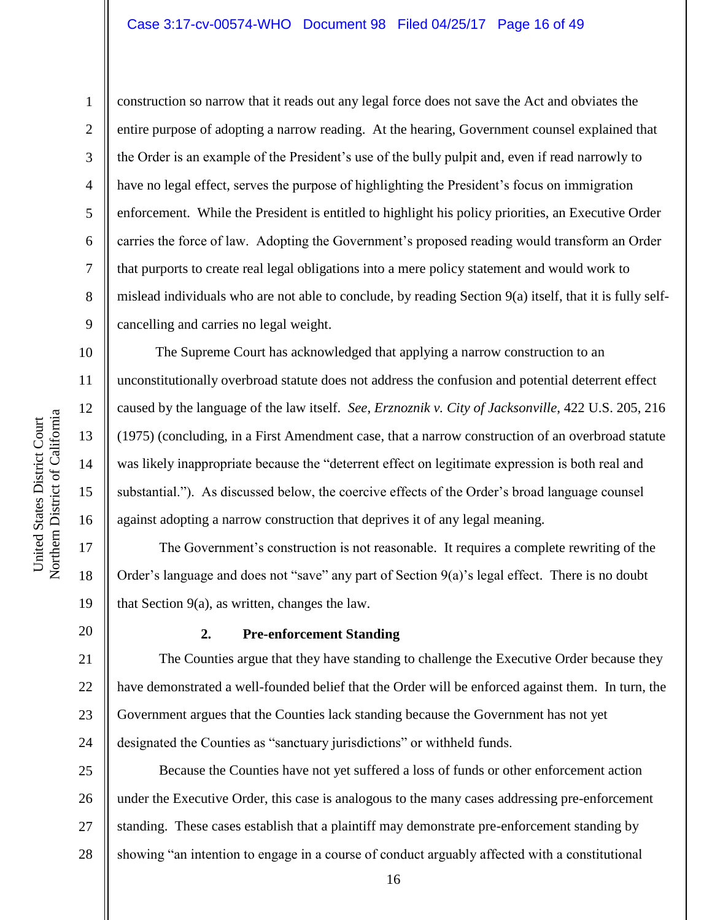#### Case 3:17-cv-00574-WHO Document 98 Filed 04/25/17 Page 16 of 49

construction so narrow that it reads out any legal force does not save the Act and obviates the

the Order is an example of the President's use of the bully pulpit and, even if read narrowly to

entire purpose of adopting a narrow reading. At the hearing, Government counsel explained that

9

10

11

12

13

14

15

16

17

18

19

1

have no legal effect, serves the purpose of highlighting the President's focus on immigration enforcement. While the President is entitled to highlight his policy priorities, an Executive Order carries the force of law. Adopting the Government's proposed reading would transform an Order that purports to create real legal obligations into a mere policy statement and would work to mislead individuals who are not able to conclude, by reading Section 9(a) itself, that it is fully selfcancelling and carries no legal weight. The Supreme Court has acknowledged that applying a narrow construction to an unconstitutionally overbroad statute does not address the confusion and potential deterrent effect

caused by the language of the law itself. *See*, *Erznoznik v. City of Jacksonville*, 422 U.S. 205, 216 (1975) (concluding, in a First Amendment case, that a narrow construction of an overbroad statute was likely inappropriate because the "deterrent effect on legitimate expression is both real and substantial."). As discussed below, the coercive effects of the Order's broad language counsel against adopting a narrow construction that deprives it of any legal meaning.

The Government's construction is not reasonable. It requires a complete rewriting of the Order's language and does not "save" any part of Section 9(a)'s legal effect. There is no doubt that Section 9(a), as written, changes the law.

20

21

23

# **2. Pre-enforcement Standing**

22 24 The Counties argue that they have standing to challenge the Executive Order because they have demonstrated a well-founded belief that the Order will be enforced against them. In turn, the Government argues that the Counties lack standing because the Government has not yet designated the Counties as "sanctuary jurisdictions" or withheld funds.

25 26 27 28 Because the Counties have not yet suffered a loss of funds or other enforcement action under the Executive Order, this case is analogous to the many cases addressing pre-enforcement standing. These cases establish that a plaintiff may demonstrate pre-enforcement standing by showing "an intention to engage in a course of conduct arguably affected with a constitutional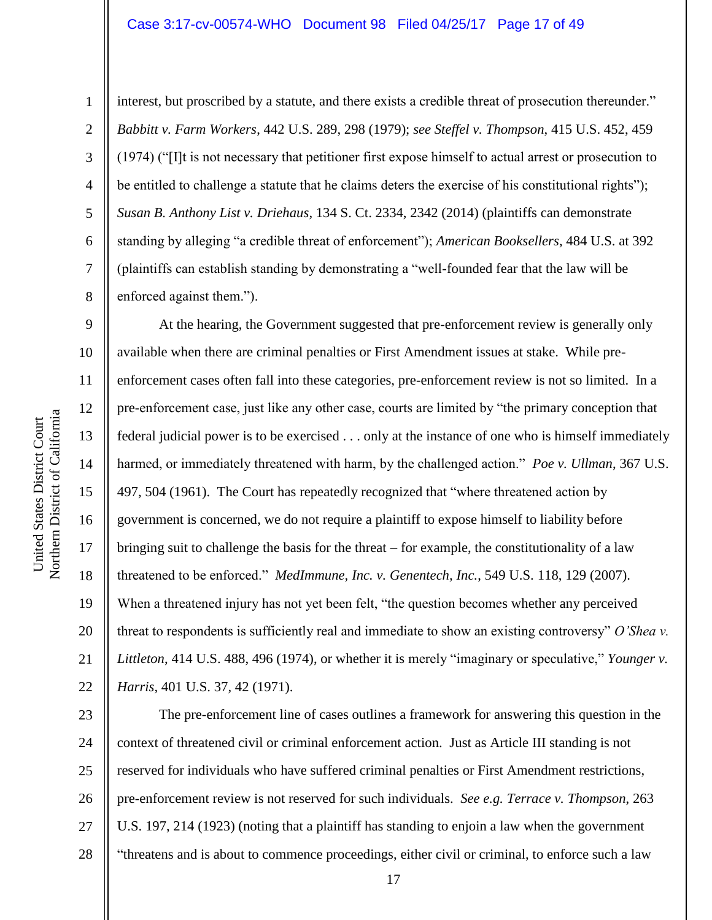#### Case 3:17-cv-00574-WHO Document 98 Filed 04/25/17 Page 17 of 49

1

2

3

4

5

6

7

8

interest, but proscribed by a statute, and there exists a credible threat of prosecution thereunder." *Babbitt v. Farm Workers*, 442 U.S. 289, 298 (1979); *see Steffel v. Thompson*, 415 U.S. 452, 459 (1974) ("[I]t is not necessary that petitioner first expose himself to actual arrest or prosecution to be entitled to challenge a statute that he claims deters the exercise of his constitutional rights"); *Susan B. Anthony List v. Driehaus*, 134 S. Ct. 2334, 2342 (2014) (plaintiffs can demonstrate standing by alleging "a credible threat of enforcement"); *American Booksellers*, 484 U.S. at 392 (plaintiffs can establish standing by demonstrating a "well-founded fear that the law will be enforced against them.").

9 10 11 12 13 14 15 16 17 18 19 20 21 22 At the hearing, the Government suggested that pre-enforcement review is generally only available when there are criminal penalties or First Amendment issues at stake. While preenforcement cases often fall into these categories, pre-enforcement review is not so limited. In a pre-enforcement case, just like any other case, courts are limited by "the primary conception that federal judicial power is to be exercised . . . only at the instance of one who is himself immediately harmed, or immediately threatened with harm, by the challenged action." *Poe v. Ullman*, 367 U.S. 497, 504 (1961). The Court has repeatedly recognized that "where threatened action by government is concerned, we do not require a plaintiff to expose himself to liability before bringing suit to challenge the basis for the threat – for example, the constitutionality of a law threatened to be enforced." *MedImmune, Inc. v. Genentech, Inc.*, 549 U.S. 118, 129 (2007). When a threatened injury has not yet been felt, "the question becomes whether any perceived threat to respondents is sufficiently real and immediate to show an existing controversy" *O'Shea v. Littleton*, 414 U.S. 488, 496 (1974), or whether it is merely "imaginary or speculative," *Younger v. Harris*, 401 U.S. 37, 42 (1971).

23 24 25 26 27 28 The pre-enforcement line of cases outlines a framework for answering this question in the context of threatened civil or criminal enforcement action. Just as Article III standing is not reserved for individuals who have suffered criminal penalties or First Amendment restrictions, pre-enforcement review is not reserved for such individuals. *See e.g. Terrace v. Thompson*, 263 U.S. 197, 214 (1923) (noting that a plaintiff has standing to enjoin a law when the government "threatens and is about to commence proceedings, either civil or criminal, to enforce such a law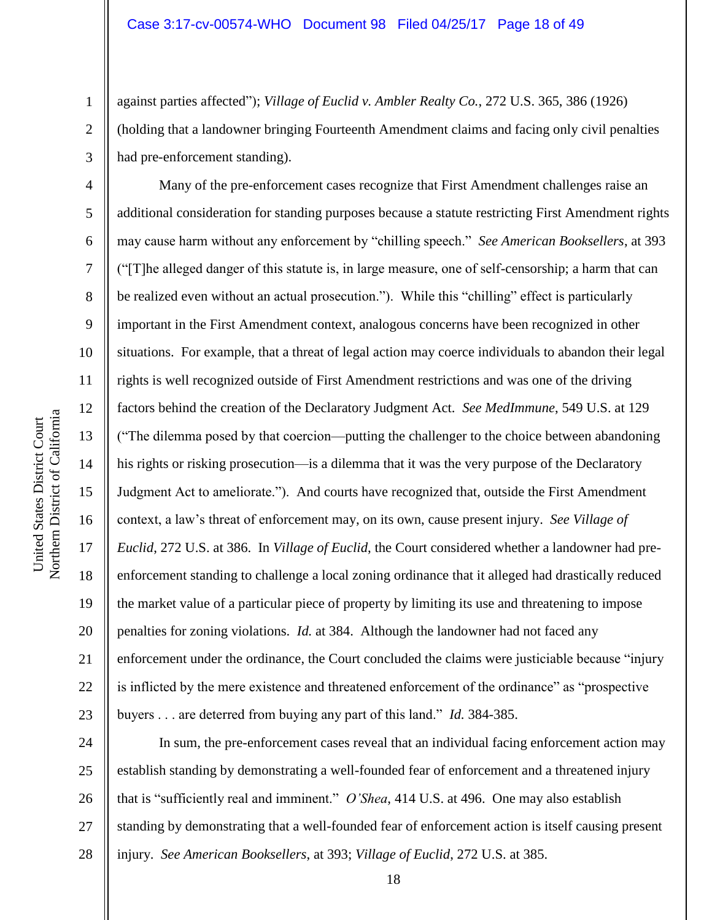against parties affected"); *Village of Euclid v. Ambler Realty Co.*, 272 U.S. 365, 386 (1926) (holding that a landowner bringing Fourteenth Amendment claims and facing only civil penalties had pre-enforcement standing).

Many of the pre-enforcement cases recognize that First Amendment challenges raise an additional consideration for standing purposes because a statute restricting First Amendment rights may cause harm without any enforcement by "chilling speech." *See American Booksellers*, at 393 ("[T]he alleged danger of this statute is, in large measure, one of self-censorship; a harm that can be realized even without an actual prosecution."). While this "chilling" effect is particularly important in the First Amendment context, analogous concerns have been recognized in other situations. For example, that a threat of legal action may coerce individuals to abandon their legal rights is well recognized outside of First Amendment restrictions and was one of the driving factors behind the creation of the Declaratory Judgment Act. *See MedImmune*, 549 U.S. at 129 ("The dilemma posed by that coercion—putting the challenger to the choice between abandoning his rights or risking prosecution—is a dilemma that it was the very purpose of the Declaratory Judgment Act to ameliorate."). And courts have recognized that, outside the First Amendment context, a law's threat of enforcement may, on its own, cause present injury. *See Village of Euclid*, 272 U.S. at 386. In *Village of Euclid*, the Court considered whether a landowner had preenforcement standing to challenge a local zoning ordinance that it alleged had drastically reduced the market value of a particular piece of property by limiting its use and threatening to impose penalties for zoning violations. *Id.* at 384. Although the landowner had not faced any enforcement under the ordinance, the Court concluded the claims were justiciable because "injury is inflicted by the mere existence and threatened enforcement of the ordinance" as "prospective buyers . . . are deterred from buying any part of this land." *Id.* 384-385.

24 25 26 27 28 In sum, the pre-enforcement cases reveal that an individual facing enforcement action may establish standing by demonstrating a well-founded fear of enforcement and a threatened injury that is "sufficiently real and imminent." *O'Shea*, 414 U.S. at 496. One may also establish standing by demonstrating that a well-founded fear of enforcement action is itself causing present injury. *See American Booksellers*, at 393; *Village of Euclid*, 272 U.S. at 385.

1

2

3

4

5

6

7

8

9

10

11

12

13

14

15

16

17

18

19

20

21

22

23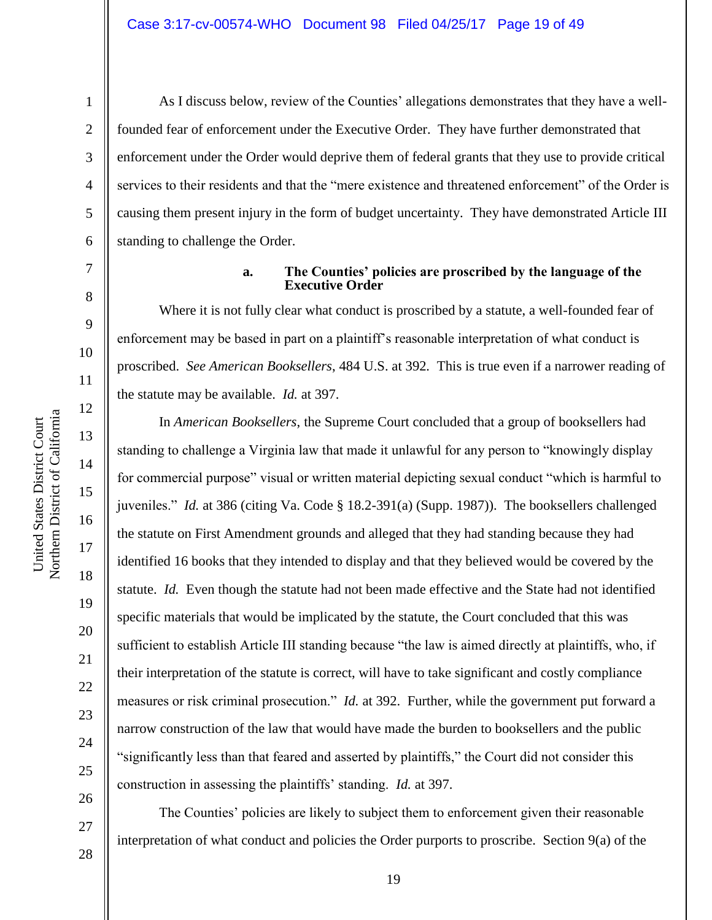United States District Court

Northern District of California United States District Court

As I discuss below, review of the Counties' allegations demonstrates that they have a wellfounded fear of enforcement under the Executive Order. They have further demonstrated that enforcement under the Order would deprive them of federal grants that they use to provide critical services to their residents and that the "mere existence and threatened enforcement" of the Order is causing them present injury in the form of budget uncertainty. They have demonstrated Article III standing to challenge the Order.

7

1

2

3

4

5

6

8

9

18

19

20

21

22

23

24

25

26

27

#### **a. The Counties' policies are proscribed by the language of the Executive Order**

Where it is not fully clear what conduct is proscribed by a statute, a well-founded fear of enforcement may be based in part on a plaintiff's reasonable interpretation of what conduct is proscribed. *See American Booksellers*, 484 U.S. at 392*.* This is true even if a narrower reading of the statute may be available. *Id.* at 397.

In *American Booksellers*, the Supreme Court concluded that a group of booksellers had standing to challenge a Virginia law that made it unlawful for any person to "knowingly display for commercial purpose" visual or written material depicting sexual conduct "which is harmful to juveniles." *Id.* at 386 (citing Va. Code § 18.2-391(a) (Supp. 1987)). The booksellers challenged the statute on First Amendment grounds and alleged that they had standing because they had identified 16 books that they intended to display and that they believed would be covered by the statute. *Id.* Even though the statute had not been made effective and the State had not identified specific materials that would be implicated by the statute, the Court concluded that this was sufficient to establish Article III standing because "the law is aimed directly at plaintiffs, who, if their interpretation of the statute is correct, will have to take significant and costly compliance measures or risk criminal prosecution." *Id.* at 392. Further, while the government put forward a narrow construction of the law that would have made the burden to booksellers and the public "significantly less than that feared and asserted by plaintiffs," the Court did not consider this construction in assessing the plaintiffs' standing. *Id.* at 397.

The Counties' policies are likely to subject them to enforcement given their reasonable interpretation of what conduct and policies the Order purports to proscribe. Section 9(a) of the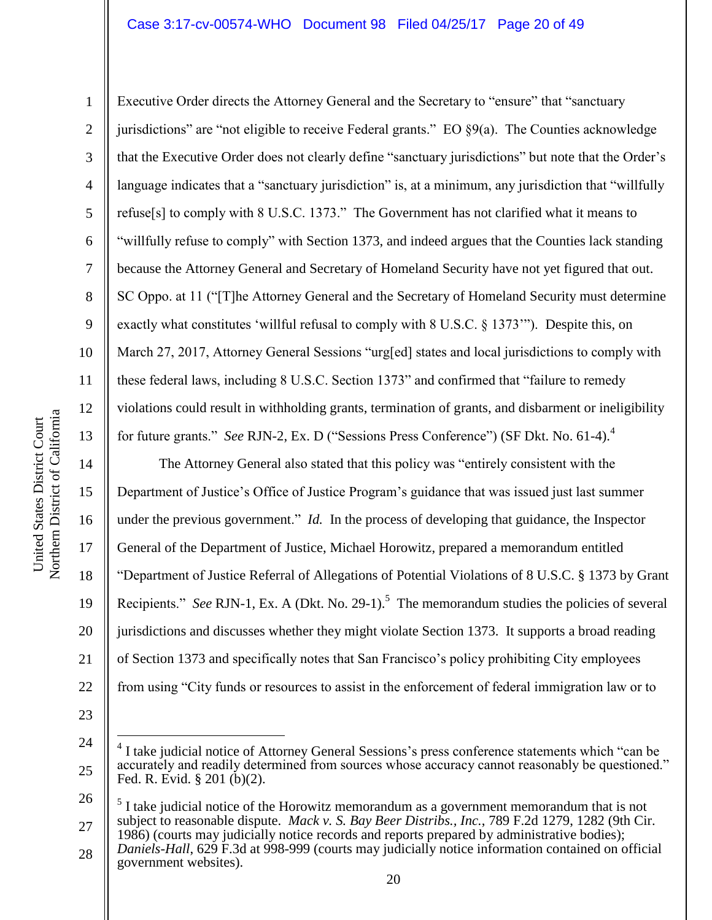# Case 3:17-cv-00574-WHO Document 98 Filed 04/25/17 Page 20 of 49

Executive Order directs the Attorney General and the Secretary to "ensure" that "sanctuary jurisdictions" are "not eligible to receive Federal grants." EO  $\S9(a)$ . The Counties acknowledge that the Executive Order does not clearly define "sanctuary jurisdictions" but note that the Order's language indicates that a "sanctuary jurisdiction" is, at a minimum, any jurisdiction that "willfully refuse[s] to comply with 8 U.S.C. 1373." The Government has not clarified what it means to "willfully refuse to comply" with Section 1373, and indeed argues that the Counties lack standing because the Attorney General and Secretary of Homeland Security have not yet figured that out. SC Oppo. at 11 ("[T]he Attorney General and the Secretary of Homeland Security must determine exactly what constitutes 'willful refusal to comply with 8 U.S.C. § 1373'"). Despite this, on March 27, 2017, Attorney General Sessions "urg[ed] states and local jurisdictions to comply with these federal laws, including 8 U.S.C. Section 1373" and confirmed that "failure to remedy violations could result in withholding grants, termination of grants, and disbarment or ineligibility for future grants." *See RJN-2*, Ex. D ("Sessions Press Conference") (SF Dkt. No. 61-4).<sup>4</sup>

The Attorney General also stated that this policy was "entirely consistent with the Department of Justice's Office of Justice Program's guidance that was issued just last summer under the previous government." *Id.* In the process of developing that guidance, the Inspector General of the Department of Justice, Michael Horowitz, prepared a memorandum entitled "Department of Justice Referral of Allegations of Potential Violations of 8 U.S.C. § 1373 by Grant Recipients." *See* RJN-1, Ex. A (Dkt. No. 29-1).<sup>5</sup> The memorandum studies the policies of several jurisdictions and discusses whether they might violate Section 1373. It supports a broad reading of Section 1373 and specifically notes that San Francisco's policy prohibiting City employees from using "City funds or resources to assist in the enforcement of federal immigration law or to

23

 $\overline{a}$ 

25

1

2

3

4

5

6

7

8

9

10

11

12

13

14

15

16

17

18

19

20

21

<sup>24</sup>

<sup>4</sup> I take judicial notice of Attorney General Sessions's press conference statements which "can be accurately and readily determined from sources whose accuracy cannot reasonably be questioned." Fed. R. Evid. § 201 (b)(2).

<sup>26</sup> 27 5 I take judicial notice of the Horowitz memorandum as a government memorandum that is not subject to reasonable dispute. *Mack v. S. Bay Beer Distribs., Inc.*, 789 F.2d 1279, 1282 (9th Cir. 1986) (courts may judicially notice records and reports prepared by administrative bodies);

<sup>28</sup> *Daniels-Hall*, 629 F.3d at 998-999 (courts may judicially notice information contained on official government websites).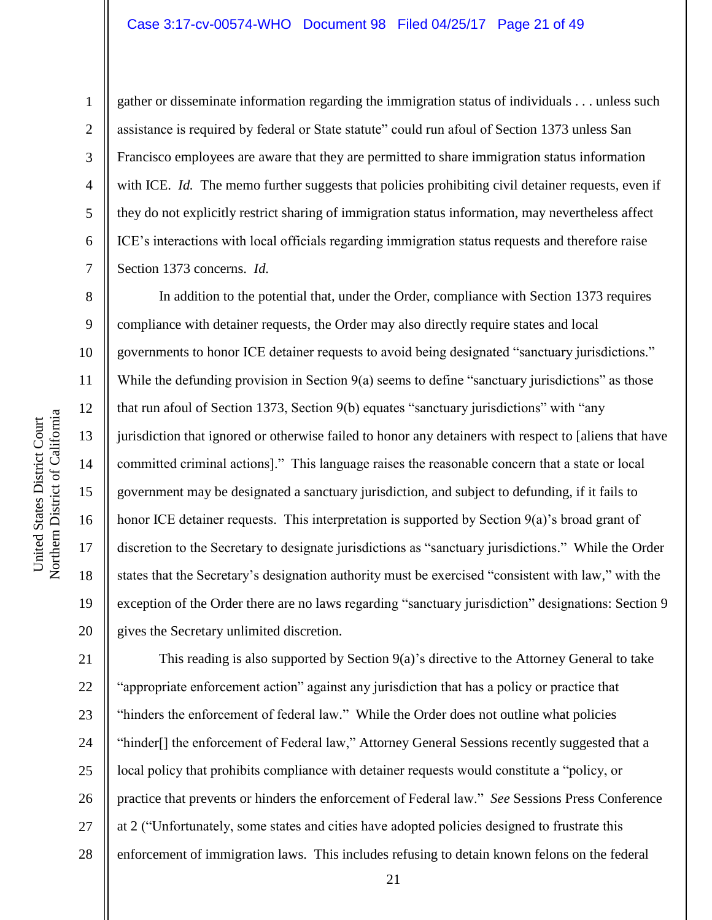#### Case 3:17-cv-00574-WHO Document 98 Filed 04/25/17 Page 21 of 49

1

2

3

4

5

6

7

8

9

10

11

12

13

14

15

16

17

18

19

20

gather or disseminate information regarding the immigration status of individuals . . . unless such assistance is required by federal or State statute" could run afoul of Section 1373 unless San Francisco employees are aware that they are permitted to share immigration status information with ICE. *Id.* The memo further suggests that policies prohibiting civil detainer requests, even if they do not explicitly restrict sharing of immigration status information, may nevertheless affect ICE's interactions with local officials regarding immigration status requests and therefore raise Section 1373 concerns. *Id.*

In addition to the potential that, under the Order, compliance with Section 1373 requires compliance with detainer requests, the Order may also directly require states and local governments to honor ICE detainer requests to avoid being designated "sanctuary jurisdictions." While the defunding provision in Section  $9(a)$  seems to define "sanctuary jurisdictions" as those that run afoul of Section 1373, Section 9(b) equates "sanctuary jurisdictions" with "any jurisdiction that ignored or otherwise failed to honor any detainers with respect to [aliens that have committed criminal actions]." This language raises the reasonable concern that a state or local government may be designated a sanctuary jurisdiction, and subject to defunding, if it fails to honor ICE detainer requests. This interpretation is supported by Section 9(a)'s broad grant of discretion to the Secretary to designate jurisdictions as "sanctuary jurisdictions." While the Order states that the Secretary's designation authority must be exercised "consistent with law," with the exception of the Order there are no laws regarding "sanctuary jurisdiction" designations: Section 9 gives the Secretary unlimited discretion.

21 22 23 24 25 26 27 28 This reading is also supported by Section 9(a)'s directive to the Attorney General to take "appropriate enforcement action" against any jurisdiction that has a policy or practice that "hinders the enforcement of federal law." While the Order does not outline what policies "hinder[] the enforcement of Federal law," Attorney General Sessions recently suggested that a local policy that prohibits compliance with detainer requests would constitute a "policy, or practice that prevents or hinders the enforcement of Federal law." *See* Sessions Press Conference at 2 ("Unfortunately, some states and cities have adopted policies designed to frustrate this enforcement of immigration laws. This includes refusing to detain known felons on the federal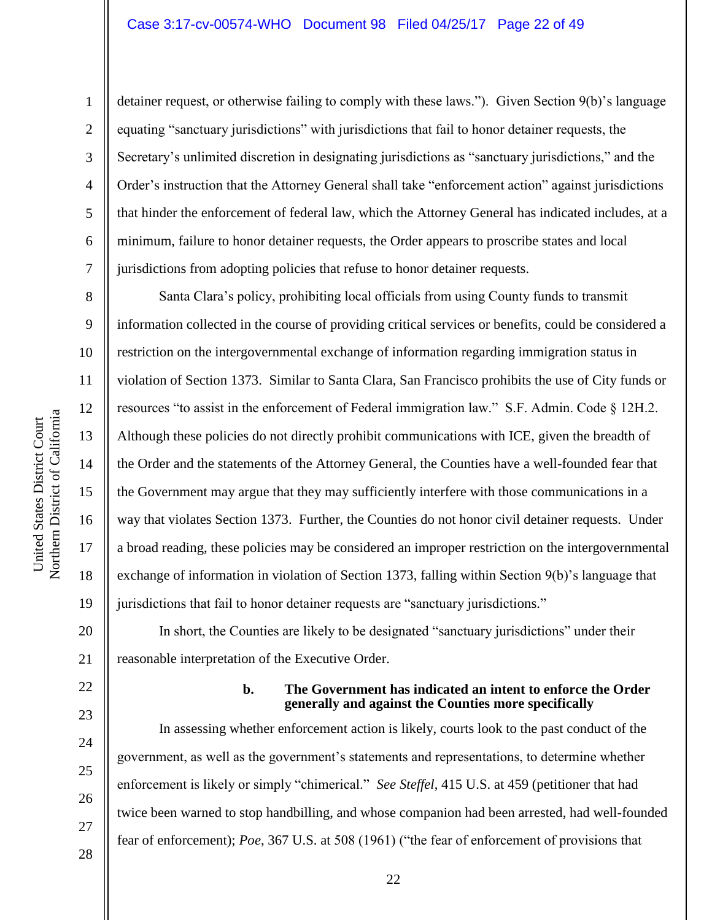#### Case 3:17-cv-00574-WHO Document 98 Filed 04/25/17 Page 22 of 49

detainer request, or otherwise failing to comply with these laws."). Given Section 9(b)'s language equating "sanctuary jurisdictions" with jurisdictions that fail to honor detainer requests, the Secretary's unlimited discretion in designating jurisdictions as "sanctuary jurisdictions," and the Order's instruction that the Attorney General shall take "enforcement action" against jurisdictions that hinder the enforcement of federal law, which the Attorney General has indicated includes, at a minimum, failure to honor detainer requests, the Order appears to proscribe states and local jurisdictions from adopting policies that refuse to honor detainer requests.

Santa Clara's policy, prohibiting local officials from using County funds to transmit information collected in the course of providing critical services or benefits, could be considered a restriction on the intergovernmental exchange of information regarding immigration status in violation of Section 1373. Similar to Santa Clara, San Francisco prohibits the use of City funds or resources "to assist in the enforcement of Federal immigration law." S.F. Admin. Code § 12H.2. Although these policies do not directly prohibit communications with ICE, given the breadth of the Order and the statements of the Attorney General, the Counties have a well-founded fear that the Government may argue that they may sufficiently interfere with those communications in a way that violates Section 1373. Further, the Counties do not honor civil detainer requests. Under a broad reading, these policies may be considered an improper restriction on the intergovernmental exchange of information in violation of Section 1373, falling within Section 9(b)'s language that jurisdictions that fail to honor detainer requests are "sanctuary jurisdictions."

20 21 In short, the Counties are likely to be designated "sanctuary jurisdictions" under their reasonable interpretation of the Executive Order.

# 22

23

24

25

26

27

28

#### **b. The Government has indicated an intent to enforce the Order generally and against the Counties more specifically**

In assessing whether enforcement action is likely, courts look to the past conduct of the government, as well as the government's statements and representations, to determine whether enforcement is likely or simply "chimerical." *See Steffel*, 415 U.S. at 459 (petitioner that had twice been warned to stop handbilling, and whose companion had been arrested, had well-founded fear of enforcement); *Poe*, 367 U.S. at 508 (1961) ("the fear of enforcement of provisions that

Northern District of California Northern District of California United States District Court United States District Court

1

2

3

4

5

6

7

8

9

10

11

12

13

14

15

16

17

18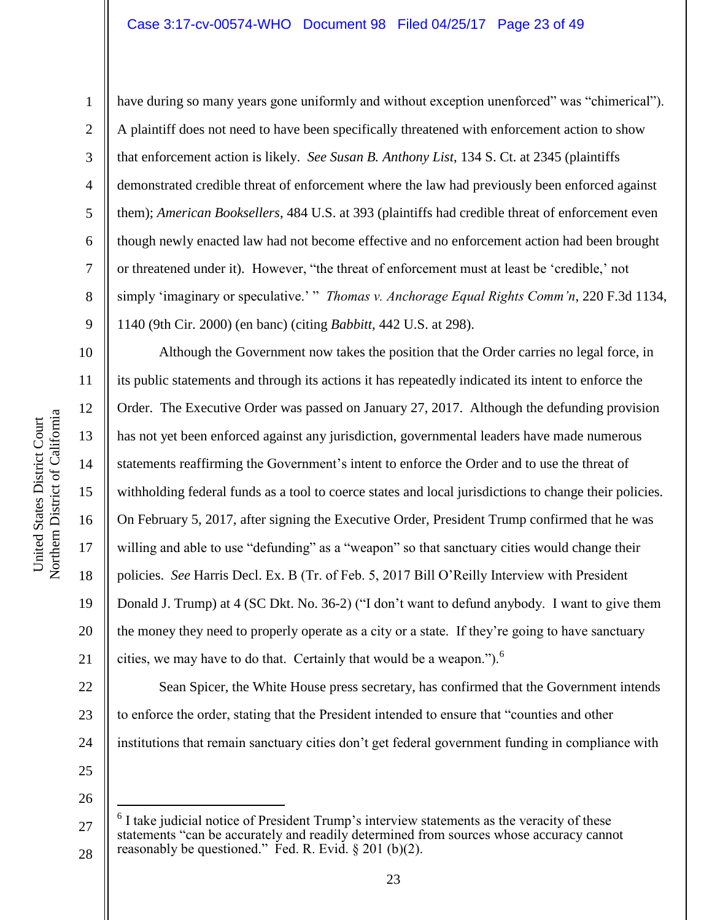#### Case 3:17-cv-00574-WHO Document 98 Filed 04/25/17 Page 23 of 49

1

2

3

4

5

6

7

8

9

11

12

13

14

15

17

18

19

21

have during so many years gone uniformly and without exception unenforced" was "chimerical"). A plaintiff does not need to have been specifically threatened with enforcement action to show that enforcement action is likely. *See Susan B. Anthony List*, 134 S. Ct. at 2345 (plaintiffs demonstrated credible threat of enforcement where the law had previously been enforced against them); *American Booksellers*, 484 U.S. at 393 (plaintiffs had credible threat of enforcement even though newly enacted law had not become effective and no enforcement action had been brought or threatened under it). However, "the threat of enforcement must at least be 'credible,' not simply 'imaginary or speculative.' " *Thomas v. Anchorage Equal Rights Comm'n*, 220 F.3d 1134, 1140 (9th Cir. 2000) (en banc) (citing *Babbitt*, 442 U.S. at 298).

10 16 20 Although the Government now takes the position that the Order carries no legal force, in its public statements and through its actions it has repeatedly indicated its intent to enforce the Order. The Executive Order was passed on January 27, 2017. Although the defunding provision has not yet been enforced against any jurisdiction, governmental leaders have made numerous statements reaffirming the Government's intent to enforce the Order and to use the threat of withholding federal funds as a tool to coerce states and local jurisdictions to change their policies. On February 5, 2017, after signing the Executive Order, President Trump confirmed that he was willing and able to use "defunding" as a "weapon" so that sanctuary cities would change their policies. *See* Harris Decl. Ex. B (Tr. of Feb. 5, 2017 Bill O'Reilly Interview with President Donald J. Trump) at 4 (SC Dkt. No. 36-2) ("I don't want to defund anybody. I want to give them the money they need to properly operate as a city or a state. If they're going to have sanctuary cities, we may have to do that. Certainly that would be a weapon.").<sup>6</sup>

22 23 24 Sean Spicer, the White House press secretary, has confirmed that the Government intends to enforce the order, stating that the President intended to ensure that "counties and other institutions that remain sanctuary cities don't get federal government funding in compliance with

25 26

 $\overline{a}$ 

<sup>27</sup> 28 6 I take judicial notice of President Trump's interview statements as the veracity of these statements "can be accurately and readily determined from sources whose accuracy cannot reasonably be questioned." Fed. R. Evid.  $\S 201$  (b)(2).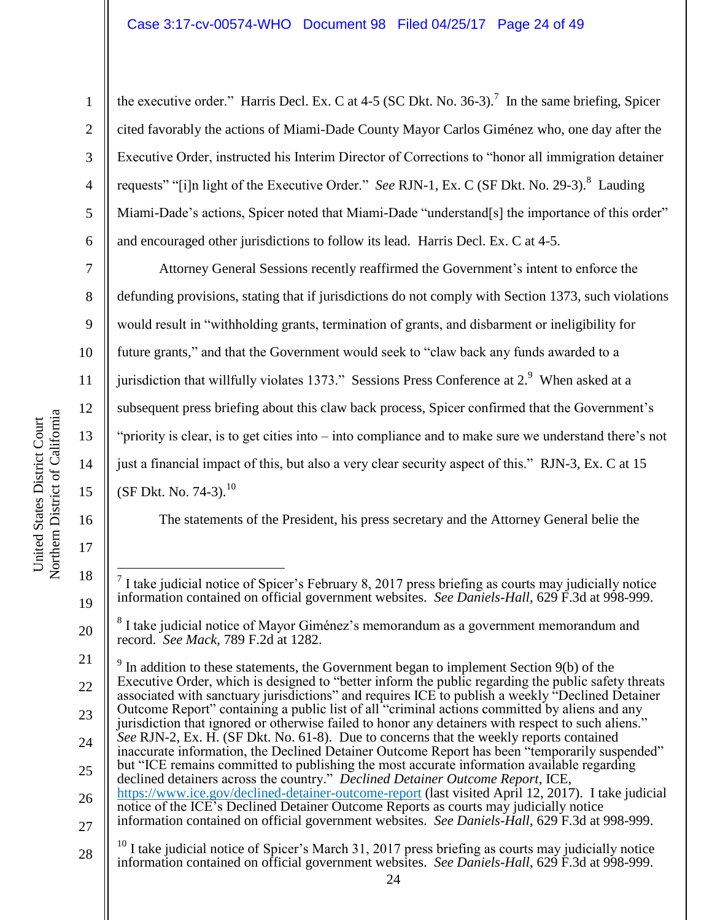the executive order." Harris Decl. Ex. C at 4-5 (SC Dkt. No. 36-3).<sup>7</sup> In the same briefing, Spicer cited favorably the actions of Miami-Dade County Mayor Carlos Giménez who, one day after the Executive Order, instructed his Interim Director of Corrections to "honor all immigration detainer requests" "[i]n light of the Executive Order." *See RJN-1*, Ex. C (SF Dkt. No. 29-3).<sup>8</sup> Lauding Miami-Dade's actions, Spicer noted that Miami-Dade "understand[s] the importance of this order" and encouraged other jurisdictions to follow its lead. Harris Decl. Ex. C at 4-5.

7 8 9 10 11 12 13 14 15 Attorney General Sessions recently reaffirmed the Government's intent to enforce the defunding provisions, stating that if jurisdictions do not comply with Section 1373, such violations would result in "withholding grants, termination of grants, and disbarment or ineligibility for future grants," and that the Government would seek to "claw back any funds awarded to a jurisdiction that willfully violates 1373." Sessions Press Conference at 2.<sup>9</sup> When asked at a subsequent press briefing about this claw back process, Spicer confirmed that the Government's "priority is clear, is to get cities into – into compliance and to make sure we understand there's not just a financial impact of this, but also a very clear security aspect of this." RJN-3, Ex. C at 15 (SF Dkt. No. 74-3). $^{10}$ 

The statements of the President, his press secretary and the Attorney General belie the

21 22 23 24  $9<sup>9</sup>$  In addition to these statements, the Government began to implement Section 9(b) of the Executive Order, which is designed to "better inform the public regarding the public safety threats associated with sanctuary jurisdictions" and requires ICE to publish a weekly "Declined Detainer Outcome Report" containing a public list of all "criminal actions committed by aliens and any jurisdiction that ignored or otherwise failed to honor any detainers with respect to such aliens." *See* RJN-2, Ex. H. (SF Dkt. No. 61-8). Due to concerns that the weekly reports contained inaccurate information, the Declined Detainer Outcome Report has been "temporarily suspended"

- 25 26 but "ICE remains committed to publishing the most accurate information available regarding declined detainers across the country." *Declined Detainer Outcome Report*, ICE, <https://www.ice.gov/declined-detainer-outcome-report> (last visited April 12, 2017). I take judicial notice of the ICE's Declined Detainer Outcome Reports as courts may judicially notice
- 27 information contained on official government websites. *See Daniels-Hall*, 629 F.3d at 998-999.
- 28  $^{10}$  I take judicial notice of Spicer's March 31, 2017 press briefing as courts may judicially notice information contained on official government websites. *See Daniels-Hall*, 629 F.3d at 998-999.

16

17

18

19

20

1

2

3

4

5

 $\overline{a}$ 7 I take judicial notice of Spicer's February 8, 2017 press briefing as courts may judicially notice information contained on official government websites. *See Daniels-Hall*, 629 F.3d at 998-999.

<sup>8</sup> I take judicial notice of Mayor Giménez's memorandum as a government memorandum and record. *See Mack*, 789 F.2d at 1282.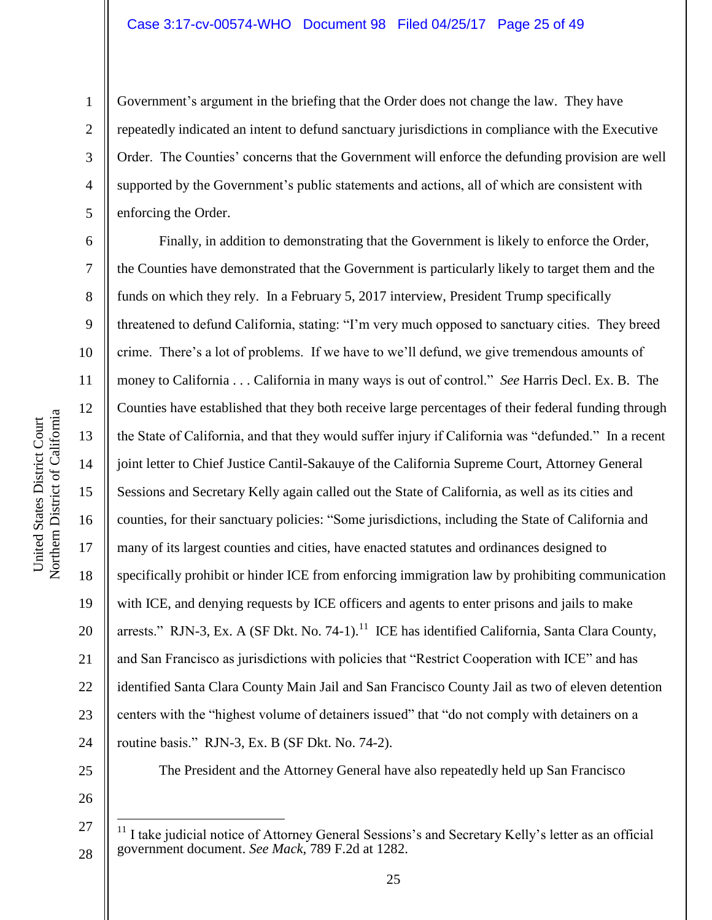#### Case 3:17-cv-00574-WHO Document 98 Filed 04/25/17 Page 25 of 49

Government's argument in the briefing that the Order does not change the law. They have repeatedly indicated an intent to defund sanctuary jurisdictions in compliance with the Executive Order. The Counties' concerns that the Government will enforce the defunding provision are well supported by the Government's public statements and actions, all of which are consistent with enforcing the Order.

Finally, in addition to demonstrating that the Government is likely to enforce the Order, the Counties have demonstrated that the Government is particularly likely to target them and the funds on which they rely. In a February 5, 2017 interview, President Trump specifically threatened to defund California, stating: "I'm very much opposed to sanctuary cities. They breed crime. There's a lot of problems. If we have to we'll defund, we give tremendous amounts of money to California . . . California in many ways is out of control." *See* Harris Decl. Ex. B. The Counties have established that they both receive large percentages of their federal funding through the State of California, and that they would suffer injury if California was "defunded." In a recent joint letter to Chief Justice Cantil-Sakauye of the California Supreme Court, Attorney General Sessions and Secretary Kelly again called out the State of California, as well as its cities and counties, for their sanctuary policies: "Some jurisdictions, including the State of California and many of its largest counties and cities, have enacted statutes and ordinances designed to specifically prohibit or hinder ICE from enforcing immigration law by prohibiting communication with ICE, and denying requests by ICE officers and agents to enter prisons and jails to make arrests." RJN-3, Ex. A (SF Dkt. No. 74-1).<sup>11</sup> ICE has identified California, Santa Clara County, and San Francisco as jurisdictions with policies that "Restrict Cooperation with ICE" and has identified Santa Clara County Main Jail and San Francisco County Jail as two of eleven detention centers with the "highest volume of detainers issued" that "do not comply with detainers on a routine basis." RJN-3, Ex. B (SF Dkt. No. 74-2).

The President and the Attorney General have also repeatedly held up San Francisco

 $11$  I take judicial notice of Attorney General Sessions's and Secretary Kelly's letter as an official government document. *See Mack*, 789 F.2d at 1282.

1

2

3

4

5

6

7

8

9

10

11

12

13

14

15

16

17

18

19

20

21

22

23

24

25

26

27

 $\overline{a}$ 

28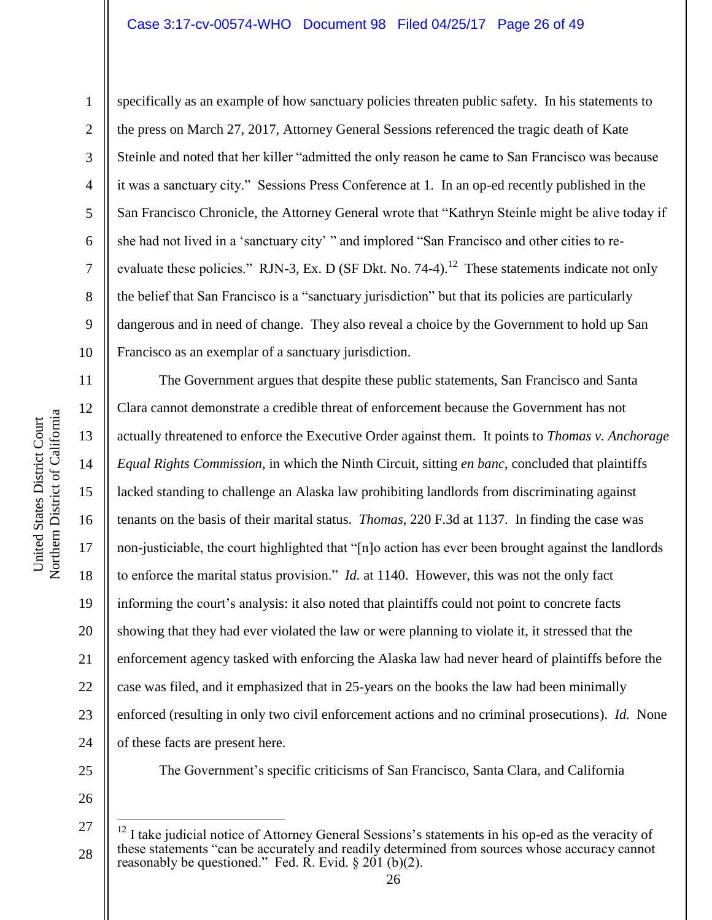#### Case 3:17-cv-00574-WHO Document 98 Filed 04/25/17 Page 26 of 49

Northern District of California Northern District of California United States District Court United States District Court

1

2

3

4

5

8

9

11

12

13

14

15

17

18

19

21

23

6 7 10 specifically as an example of how sanctuary policies threaten public safety. In his statements to the press on March 27, 2017, Attorney General Sessions referenced the tragic death of Kate Steinle and noted that her killer "admitted the only reason he came to San Francisco was because it was a sanctuary city." Sessions Press Conference at 1. In an op-ed recently published in the San Francisco Chronicle, the Attorney General wrote that "Kathryn Steinle might be alive today if she had not lived in a 'sanctuary city' " and implored "San Francisco and other cities to reevaluate these policies." RJN-3, Ex. D (SF Dkt. No. 74-4).<sup>12</sup> These statements indicate not only the belief that San Francisco is a "sanctuary jurisdiction" but that its policies are particularly dangerous and in need of change. They also reveal a choice by the Government to hold up San Francisco as an exemplar of a sanctuary jurisdiction.

16 20 22 24 The Government argues that despite these public statements, San Francisco and Santa Clara cannot demonstrate a credible threat of enforcement because the Government has not actually threatened to enforce the Executive Order against them. It points to *Thomas v. Anchorage Equal Rights Commission*, in which the Ninth Circuit, sitting *en banc*, concluded that plaintiffs lacked standing to challenge an Alaska law prohibiting landlords from discriminating against tenants on the basis of their marital status. *Thomas*, 220 F.3d at 1137. In finding the case was non-justiciable, the court highlighted that "[n]o action has ever been brought against the landlords to enforce the marital status provision." *Id.* at 1140. However, this was not the only fact informing the court's analysis: it also noted that plaintiffs could not point to concrete facts showing that they had ever violated the law or were planning to violate it, it stressed that the enforcement agency tasked with enforcing the Alaska law had never heard of plaintiffs before the case was filed, and it emphasized that in 25-years on the books the law had been minimally enforced (resulting in only two civil enforcement actions and no criminal prosecutions). *Id.* None of these facts are present here.

25

26

 $\overline{a}$ 

The Government's specific criticisms of San Francisco, Santa Clara, and California

<sup>27</sup>

<sup>28</sup>  $12$  I take judicial notice of Attorney General Sessions's statements in his op-ed as the veracity of these statements "can be accurately and readily determined from sources whose accuracy cannot reasonably be questioned." Fed. R. Evid.  $\S 201$  (b)(2).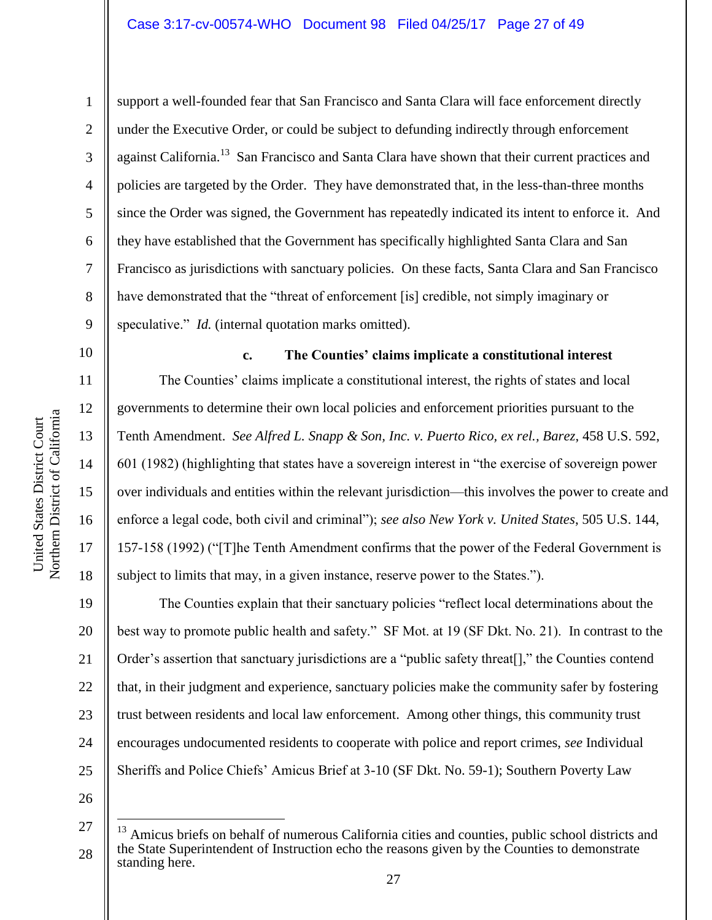1

2

3

4

5

6

7

8

9

10

11

12

13

14

15

16

17

18

19

21

23

support a well-founded fear that San Francisco and Santa Clara will face enforcement directly under the Executive Order, or could be subject to defunding indirectly through enforcement against California.<sup>13</sup> San Francisco and Santa Clara have shown that their current practices and policies are targeted by the Order. They have demonstrated that, in the less-than-three months since the Order was signed, the Government has repeatedly indicated its intent to enforce it. And they have established that the Government has specifically highlighted Santa Clara and San Francisco as jurisdictions with sanctuary policies. On these facts, Santa Clara and San Francisco have demonstrated that the "threat of enforcement [is] credible, not simply imaginary or speculative." *Id.* (internal quotation marks omitted).

**c. The Counties' claims implicate a constitutional interest** The Counties' claims implicate a constitutional interest, the rights of states and local governments to determine their own local policies and enforcement priorities pursuant to the Tenth Amendment. *See Alfred L. Snapp & Son, Inc. v. Puerto Rico, ex rel., Barez*, 458 U.S. 592, 601 (1982) (highlighting that states have a sovereign interest in "the exercise of sovereign power over individuals and entities within the relevant jurisdiction—this involves the power to create and enforce a legal code, both civil and criminal"); *see also New York v. United States*, 505 U.S. 144, 157-158 (1992) ("[T]he Tenth Amendment confirms that the power of the Federal Government is subject to limits that may, in a given instance, reserve power to the States.").

20 22 24 The Counties explain that their sanctuary policies "reflect local determinations about the best way to promote public health and safety." SF Mot. at 19 (SF Dkt. No. 21). In contrast to the Order's assertion that sanctuary jurisdictions are a "public safety threat[]," the Counties contend that, in their judgment and experience, sanctuary policies make the community safer by fostering trust between residents and local law enforcement. Among other things, this community trust encourages undocumented residents to cooperate with police and report crimes, *see* Individual Sheriffs and Police Chiefs' Amicus Brief at 3-10 (SF Dkt. No. 59-1); Southern Poverty Law

26

 $\overline{a}$ 

<sup>27</sup> 28 <sup>13</sup> Amicus briefs on behalf of numerous California cities and counties, public school districts and the State Superintendent of Instruction echo the reasons given by the Counties to demonstrate standing here.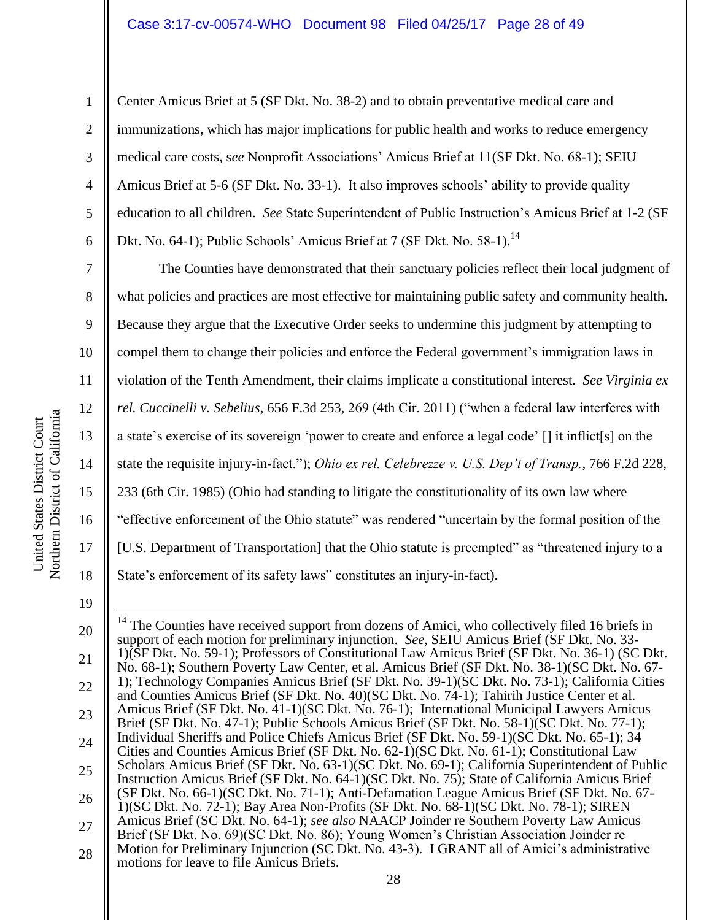Center Amicus Brief at 5 (SF Dkt. No. 38-2) and to obtain preventative medical care and immunizations, which has major implications for public health and works to reduce emergency medical care costs, s*ee* Nonprofit Associations' Amicus Brief at 11(SF Dkt. No. 68-1); SEIU Amicus Brief at 5-6 (SF Dkt. No. 33-1). It also improves schools' ability to provide quality education to all children. *See* State Superintendent of Public Instruction's Amicus Brief at 1-2 (SF Dkt. No. 64-1); Public Schools' Amicus Brief at 7 (SF Dkt. No. 58-1).<sup>14</sup>

The Counties have demonstrated that their sanctuary policies reflect their local judgment of what policies and practices are most effective for maintaining public safety and community health. Because they argue that the Executive Order seeks to undermine this judgment by attempting to compel them to change their policies and enforce the Federal government's immigration laws in violation of the Tenth Amendment, their claims implicate a constitutional interest. *See Virginia ex rel. Cuccinelli v. Sebelius*, 656 F.3d 253, 269 (4th Cir. 2011) ("when a federal law interferes with a state's exercise of its sovereign 'power to create and enforce a legal code' [] it inflict[s] on the state the requisite injury-in-fact."); *Ohio ex rel. Celebrezze v. U.S. Dep't of Transp.*, 766 F.2d 228, 233 (6th Cir. 1985) (Ohio had standing to litigate the constitutionality of its own law where "effective enforcement of the Ohio statute" was rendered "uncertain by the formal position of the [U.S. Department of Transportation] that the Ohio statute is preempted" as "threatened injury to a State's enforcement of its safety laws" constitutes an injury-in-fact).

19

1

2

3

4

5

6

7

8

9

10

11

12

13

14

15

16

17

18

<sup>20</sup> 21 22 23 24 25 26 27 28  $\overline{a}$  $14$  The Counties have received support from dozens of Amici, who collectively filed 16 briefs in support of each motion for preliminary injunction. *See*, SEIU Amicus Brief (SF Dkt. No. 33- 1)(SF Dkt. No. 59-1); Professors of Constitutional Law Amicus Brief (SF Dkt. No. 36-1) (SC Dkt. No. 68-1); Southern Poverty Law Center, et al. Amicus Brief (SF Dkt. No. 38-1)(SC Dkt. No. 67- 1); Technology Companies Amicus Brief (SF Dkt. No. 39-1)(SC Dkt. No. 73-1); California Cities and Counties Amicus Brief (SF Dkt. No. 40)(SC Dkt. No. 74-1); Tahirih Justice Center et al. Amicus Brief (SF Dkt. No. 41-1)(SC Dkt. No. 76-1); International Municipal Lawyers Amicus Brief (SF Dkt. No. 47-1); Public Schools Amicus Brief (SF Dkt. No. 58-1)(SC Dkt. No. 77-1); Individual Sheriffs and Police Chiefs Amicus Brief (SF Dkt. No. 59-1)(SC Dkt. No. 65-1); 34 Cities and Counties Amicus Brief (SF Dkt. No. 62-1)(SC Dkt. No. 61-1); Constitutional Law Scholars Amicus Brief (SF Dkt. No. 63-1)(SC Dkt. No. 69-1); California Superintendent of Public Instruction Amicus Brief (SF Dkt. No. 64-1)(SC Dkt. No. 75); State of California Amicus Brief (SF Dkt. No. 66-1)(SC Dkt. No. 71-1); Anti-Defamation League Amicus Brief (SF Dkt. No. 67- 1)(SC Dkt. No. 72-1); Bay Area Non-Profits (SF Dkt. No. 68-1)(SC Dkt. No. 78-1); SIREN Amicus Brief (SC Dkt. No. 64-1); *see also* NAACP Joinder re Southern Poverty Law Amicus Brief (SF Dkt. No. 69)(SC Dkt. No. 86); Young Women's Christian Association Joinder re Motion for Preliminary Injunction (SC Dkt. No. 43-3). I GRANT all of Amici's administrative motions for leave to file Amicus Briefs.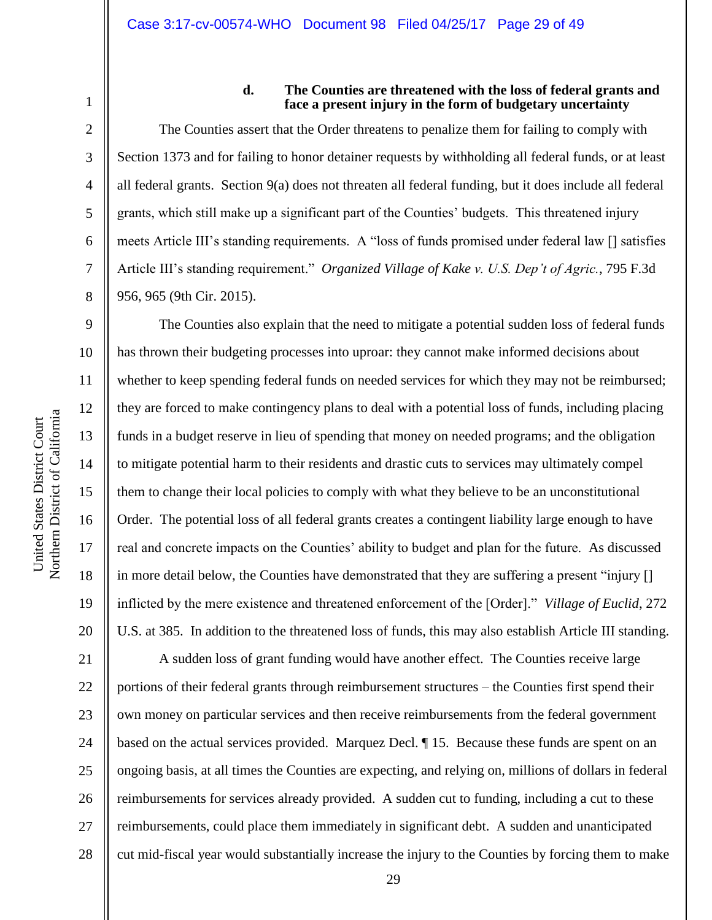1 2

3

4

5

6

7

8

9

10

11

12

13

14

15

16

17

18

19

20

# **d. The Counties are threatened with the loss of federal grants and face a present injury in the form of budgetary uncertainty**

The Counties assert that the Order threatens to penalize them for failing to comply with Section 1373 and for failing to honor detainer requests by withholding all federal funds, or at least all federal grants. Section 9(a) does not threaten all federal funding, but it does include all federal grants, which still make up a significant part of the Counties' budgets. This threatened injury meets Article III's standing requirements. A "loss of funds promised under federal law [] satisfies Article III's standing requirement." *Organized Village of Kake v. U.S. Dep't of Agric.*, 795 F.3d 956, 965 (9th Cir. 2015).

The Counties also explain that the need to mitigate a potential sudden loss of federal funds has thrown their budgeting processes into uproar: they cannot make informed decisions about whether to keep spending federal funds on needed services for which they may not be reimbursed; they are forced to make contingency plans to deal with a potential loss of funds, including placing funds in a budget reserve in lieu of spending that money on needed programs; and the obligation to mitigate potential harm to their residents and drastic cuts to services may ultimately compel them to change their local policies to comply with what they believe to be an unconstitutional Order. The potential loss of all federal grants creates a contingent liability large enough to have real and concrete impacts on the Counties' ability to budget and plan for the future. As discussed in more detail below, the Counties have demonstrated that they are suffering a present "injury [] inflicted by the mere existence and threatened enforcement of the [Order]." *Village of Euclid*, 272 U.S. at 385. In addition to the threatened loss of funds, this may also establish Article III standing.

21 22 23 24 25 26 27 28 A sudden loss of grant funding would have another effect. The Counties receive large portions of their federal grants through reimbursement structures – the Counties first spend their own money on particular services and then receive reimbursements from the federal government based on the actual services provided. Marquez Decl. ¶ 15. Because these funds are spent on an ongoing basis, at all times the Counties are expecting, and relying on, millions of dollars in federal reimbursements for services already provided. A sudden cut to funding, including a cut to these reimbursements, could place them immediately in significant debt. A sudden and unanticipated cut mid-fiscal year would substantially increase the injury to the Counties by forcing them to make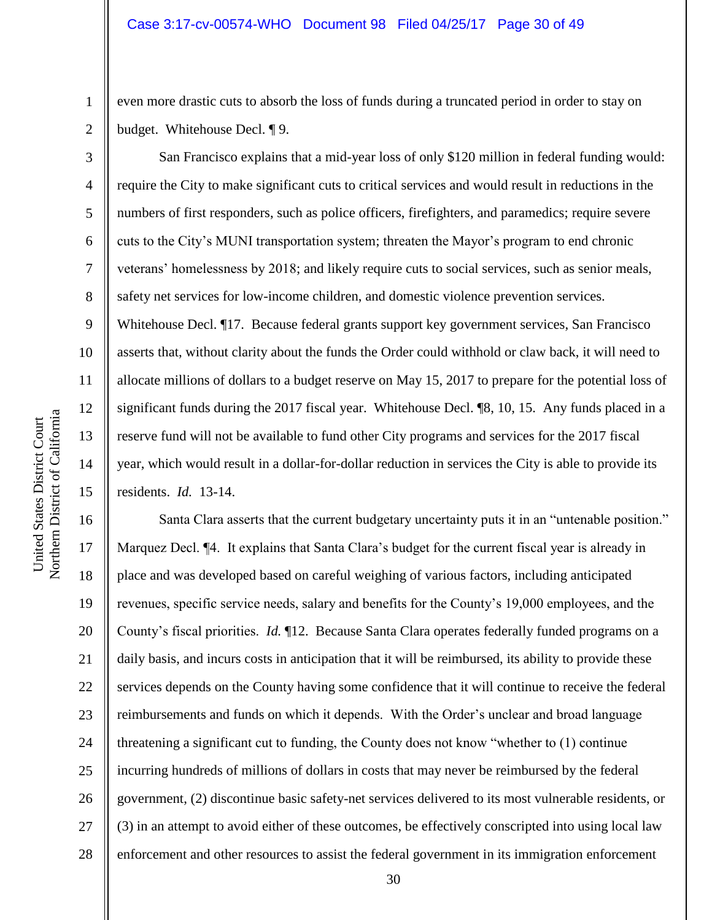even more drastic cuts to absorb the loss of funds during a truncated period in order to stay on budget. Whitehouse Decl. ¶ 9.

San Francisco explains that a mid-year loss of only \$120 million in federal funding would: require the City to make significant cuts to critical services and would result in reductions in the numbers of first responders, such as police officers, firefighters, and paramedics; require severe cuts to the City's MUNI transportation system; threaten the Mayor's program to end chronic veterans' homelessness by 2018; and likely require cuts to social services, such as senior meals, safety net services for low-income children, and domestic violence prevention services. Whitehouse Decl. ¶17. Because federal grants support key government services, San Francisco asserts that, without clarity about the funds the Order could withhold or claw back, it will need to allocate millions of dollars to a budget reserve on May 15, 2017 to prepare for the potential loss of significant funds during the 2017 fiscal year. Whitehouse Decl. ¶8, 10, 15. Any funds placed in a reserve fund will not be available to fund other City programs and services for the 2017 fiscal year, which would result in a dollar-for-dollar reduction in services the City is able to provide its residents. *Id.* 13-14.

16 17 18 19 20 21 22 23 24 25 26 27 28 Santa Clara asserts that the current budgetary uncertainty puts it in an "untenable position." Marquez Decl. ¶4. It explains that Santa Clara's budget for the current fiscal year is already in place and was developed based on careful weighing of various factors, including anticipated revenues, specific service needs, salary and benefits for the County's 19,000 employees, and the County's fiscal priorities. *Id.* ¶12. Because Santa Clara operates federally funded programs on a daily basis, and incurs costs in anticipation that it will be reimbursed, its ability to provide these services depends on the County having some confidence that it will continue to receive the federal reimbursements and funds on which it depends. With the Order's unclear and broad language threatening a significant cut to funding, the County does not know "whether to (1) continue incurring hundreds of millions of dollars in costs that may never be reimbursed by the federal government, (2) discontinue basic safety-net services delivered to its most vulnerable residents, or (3) in an attempt to avoid either of these outcomes, be effectively conscripted into using local law enforcement and other resources to assist the federal government in its immigration enforcement

1

2

3

4

5

6

7

8

9

10

11

12

13

14

15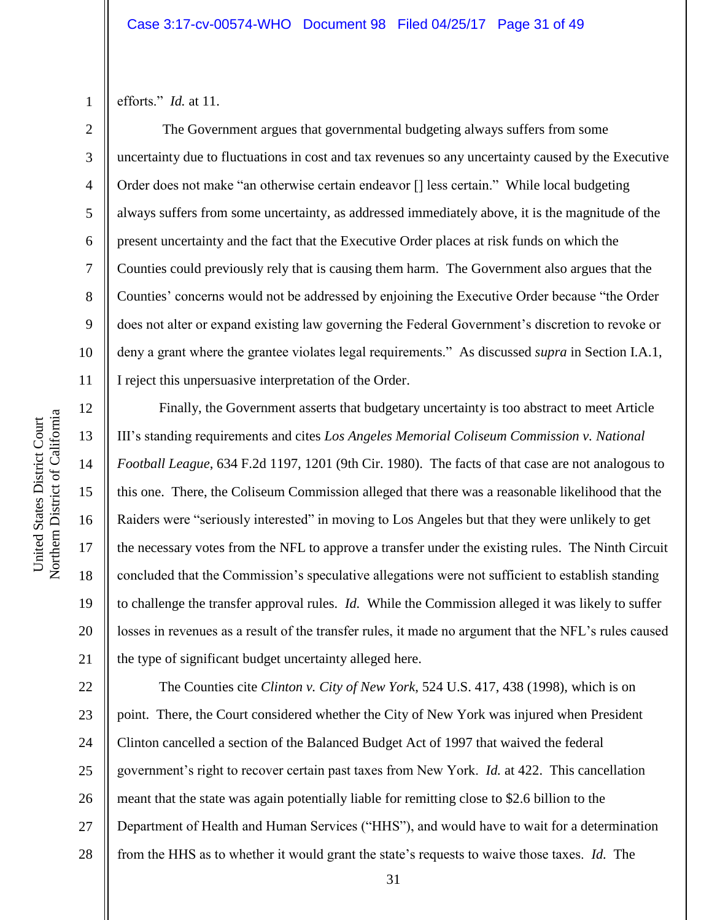efforts." *Id.* at 11.

1

2

3

4

5

6

7

8

9

10

11

12

13

14

15

16

17

18

19

20

21

The Government argues that governmental budgeting always suffers from some uncertainty due to fluctuations in cost and tax revenues so any uncertainty caused by the Executive Order does not make "an otherwise certain endeavor [] less certain." While local budgeting always suffers from some uncertainty, as addressed immediately above, it is the magnitude of the present uncertainty and the fact that the Executive Order places at risk funds on which the Counties could previously rely that is causing them harm. The Government also argues that the Counties' concerns would not be addressed by enjoining the Executive Order because "the Order does not alter or expand existing law governing the Federal Government's discretion to revoke or deny a grant where the grantee violates legal requirements." As discussed *supra* in Section I.A.1, I reject this unpersuasive interpretation of the Order.

Finally, the Government asserts that budgetary uncertainty is too abstract to meet Article III's standing requirements and cites *Los Angeles Memorial Coliseum Commission v. National Football League*, 634 F.2d 1197, 1201 (9th Cir. 1980). The facts of that case are not analogous to this one. There, the Coliseum Commission alleged that there was a reasonable likelihood that the Raiders were "seriously interested" in moving to Los Angeles but that they were unlikely to get the necessary votes from the NFL to approve a transfer under the existing rules. The Ninth Circuit concluded that the Commission's speculative allegations were not sufficient to establish standing to challenge the transfer approval rules. *Id.* While the Commission alleged it was likely to suffer losses in revenues as a result of the transfer rules, it made no argument that the NFL's rules caused the type of significant budget uncertainty alleged here.

22 23 24 25 26 27 28 The Counties cite *Clinton v. City of New York*, 524 U.S. 417, 438 (1998), which is on point. There, the Court considered whether the City of New York was injured when President Clinton cancelled a section of the Balanced Budget Act of 1997 that waived the federal government's right to recover certain past taxes from New York. *Id.* at 422. This cancellation meant that the state was again potentially liable for remitting close to \$2.6 billion to the Department of Health and Human Services ("HHS"), and would have to wait for a determination from the HHS as to whether it would grant the state's requests to waive those taxes. *Id.* The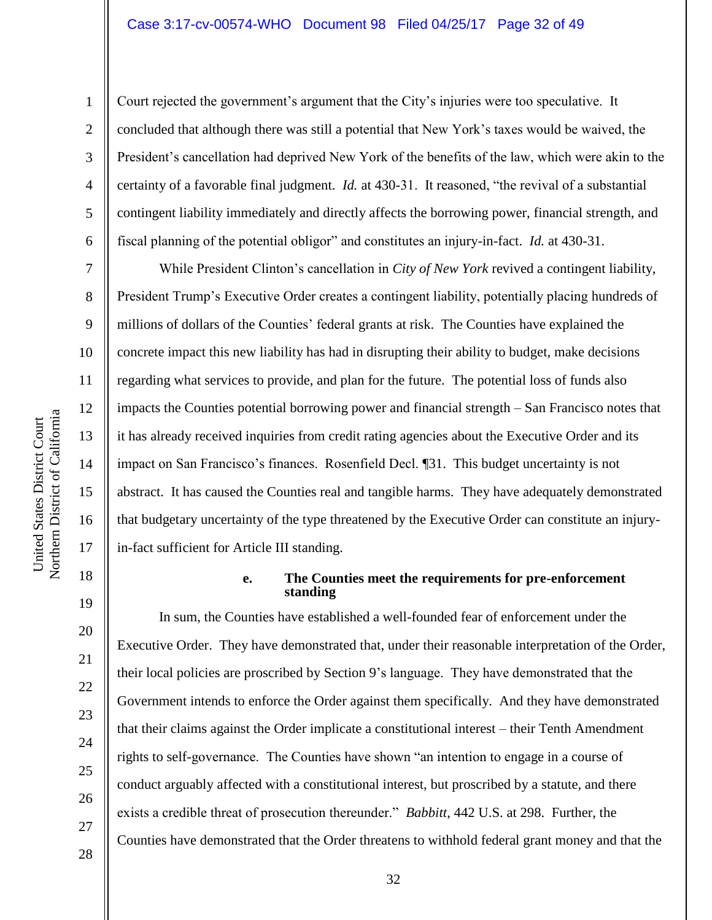#### Case 3:17-cv-00574-WHO Document 98 Filed 04/25/17 Page 32 of 49

Court rejected the government's argument that the City's injuries were too speculative. It concluded that although there was still a potential that New York's taxes would be waived, the President's cancellation had deprived New York of the benefits of the law, which were akin to the certainty of a favorable final judgment. *Id.* at 430-31. It reasoned, "the revival of a substantial contingent liability immediately and directly affects the borrowing power, financial strength, and fiscal planning of the potential obligor" and constitutes an injury-in-fact. *Id.* at 430-31.

While President Clinton's cancellation in *City of New York* revived a contingent liability, President Trump's Executive Order creates a contingent liability, potentially placing hundreds of millions of dollars of the Counties' federal grants at risk. The Counties have explained the concrete impact this new liability has had in disrupting their ability to budget, make decisions regarding what services to provide, and plan for the future. The potential loss of funds also impacts the Counties potential borrowing power and financial strength – San Francisco notes that it has already received inquiries from credit rating agencies about the Executive Order and its impact on San Francisco's finances. Rosenfield Decl. ¶31. This budget uncertainty is not abstract. It has caused the Counties real and tangible harms. They have adequately demonstrated that budgetary uncertainty of the type threatened by the Executive Order can constitute an injuryin-fact sufficient for Article III standing.

#### **e. The Counties meet the requirements for pre-enforcement standing**

In sum, the Counties have established a well-founded fear of enforcement under the Executive Order. They have demonstrated that, under their reasonable interpretation of the Order, their local policies are proscribed by Section 9's language. They have demonstrated that the Government intends to enforce the Order against them specifically. And they have demonstrated that their claims against the Order implicate a constitutional interest – their Tenth Amendment rights to self-governance. The Counties have shown "an intention to engage in a course of conduct arguably affected with a constitutional interest, but proscribed by a statute, and there exists a credible threat of prosecution thereunder." *Babbitt*, 442 U.S. at 298. Further, the Counties have demonstrated that the Order threatens to withhold federal grant money and that the

1

2

3

4

5

6

7

8

9

10

11

12

13

14

15

16

17

18

19

20

21

22

23

24

25

26

27

28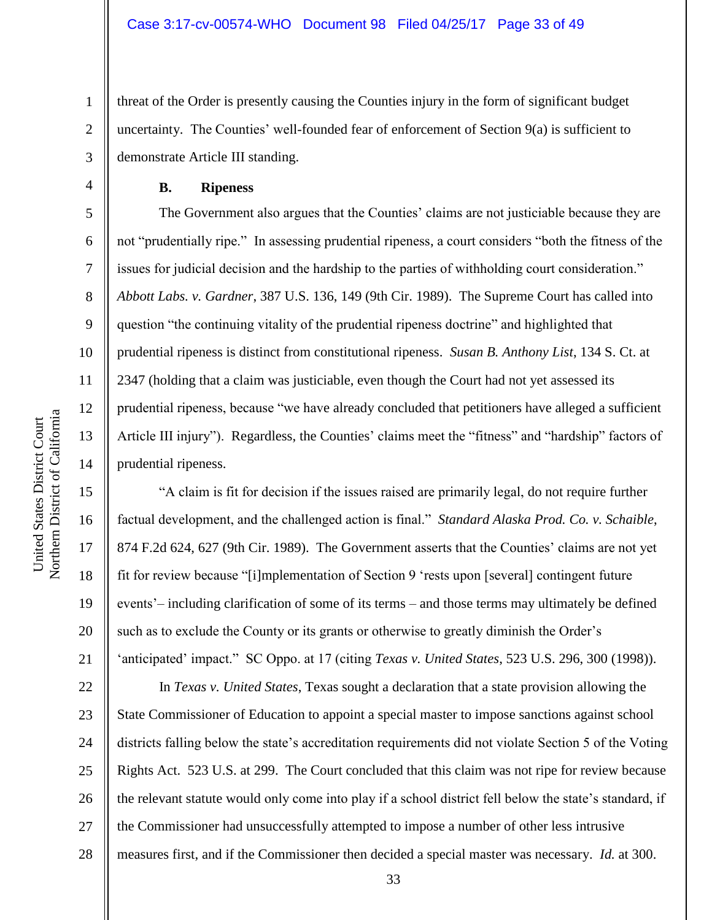threat of the Order is presently causing the Counties injury in the form of significant budget uncertainty. The Counties' well-founded fear of enforcement of Section 9(a) is sufficient to demonstrate Article III standing.

**B. Ripeness**

The Government also argues that the Counties' claims are not justiciable because they are not "prudentially ripe." In assessing prudential ripeness, a court considers "both the fitness of the issues for judicial decision and the hardship to the parties of withholding court consideration." *Abbott Labs. v. Gardner*, 387 U.S. 136, 149 (9th Cir. 1989). The Supreme Court has called into question "the continuing vitality of the prudential ripeness doctrine" and highlighted that prudential ripeness is distinct from constitutional ripeness. *Susan B. Anthony List*, 134 S. Ct. at 2347 (holding that a claim was justiciable, even though the Court had not yet assessed its prudential ripeness, because "we have already concluded that petitioners have alleged a sufficient Article III injury"). Regardless, the Counties' claims meet the "fitness" and "hardship" factors of prudential ripeness.

"A claim is fit for decision if the issues raised are primarily legal, do not require further factual development, and the challenged action is final." *Standard Alaska Prod. Co. v. Schaible*, 874 F.2d 624, 627 (9th Cir. 1989). The Government asserts that the Counties' claims are not yet fit for review because "[i]mplementation of Section 9 'rests upon [several] contingent future events'– including clarification of some of its terms – and those terms may ultimately be defined such as to exclude the County or its grants or otherwise to greatly diminish the Order's 'anticipated' impact." SC Oppo. at 17 (citing *Texas v. United States*, 523 U.S. 296, 300 (1998)).

22 23 24 25 26 27 28 In *Texas v. United States*, Texas sought a declaration that a state provision allowing the State Commissioner of Education to appoint a special master to impose sanctions against school districts falling below the state's accreditation requirements did not violate Section 5 of the Voting Rights Act. 523 U.S. at 299. The Court concluded that this claim was not ripe for review because the relevant statute would only come into play if a school district fell below the state's standard, if the Commissioner had unsuccessfully attempted to impose a number of other less intrusive measures first, and if the Commissioner then decided a special master was necessary. *Id.* at 300.

1

2

3

4

5

6

7

8

9

10

11

12

13

14

15

16

17

18

19

20

21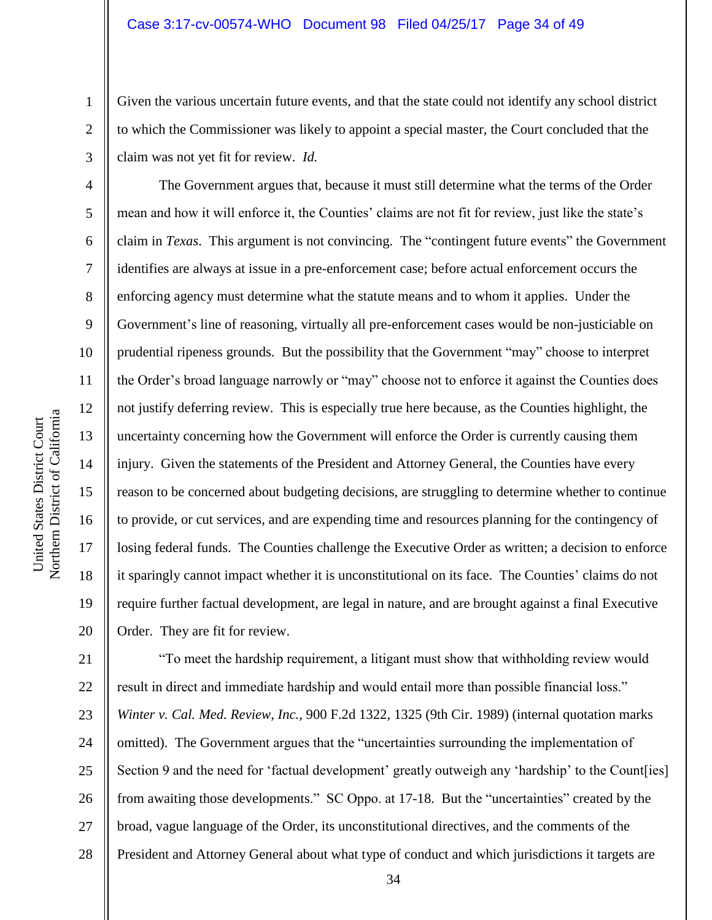Given the various uncertain future events, and that the state could not identify any school district to which the Commissioner was likely to appoint a special master, the Court concluded that the claim was not yet fit for review. *Id.*

The Government argues that, because it must still determine what the terms of the Order mean and how it will enforce it, the Counties' claims are not fit for review, just like the state's claim in *Texas*. This argument is not convincing. The "contingent future events" the Government identifies are always at issue in a pre-enforcement case; before actual enforcement occurs the enforcing agency must determine what the statute means and to whom it applies. Under the Government's line of reasoning, virtually all pre-enforcement cases would be non-justiciable on prudential ripeness grounds. But the possibility that the Government "may" choose to interpret the Order's broad language narrowly or "may" choose not to enforce it against the Counties does not justify deferring review. This is especially true here because, as the Counties highlight, the uncertainty concerning how the Government will enforce the Order is currently causing them injury. Given the statements of the President and Attorney General, the Counties have every reason to be concerned about budgeting decisions, are struggling to determine whether to continue to provide, or cut services, and are expending time and resources planning for the contingency of losing federal funds. The Counties challenge the Executive Order as written; a decision to enforce it sparingly cannot impact whether it is unconstitutional on its face. The Counties' claims do not require further factual development, are legal in nature, and are brought against a final Executive Order. They are fit for review.

21 22 23 24 25 26 27 28 "To meet the hardship requirement, a litigant must show that withholding review would result in direct and immediate hardship and would entail more than possible financial loss." *Winter v. Cal. Med. Review, Inc.*, 900 F.2d 1322, 1325 (9th Cir. 1989) (internal quotation marks omitted). The Government argues that the "uncertainties surrounding the implementation of Section 9 and the need for 'factual development' greatly outweigh any 'hardship' to the Count [ies] from awaiting those developments." SC Oppo. at 17-18. But the "uncertainties" created by the broad, vague language of the Order, its unconstitutional directives, and the comments of the President and Attorney General about what type of conduct and which jurisdictions it targets are

1

2

3

4

5

6

7

8

9

10

11

12

13

14

15

16

17

18

19

20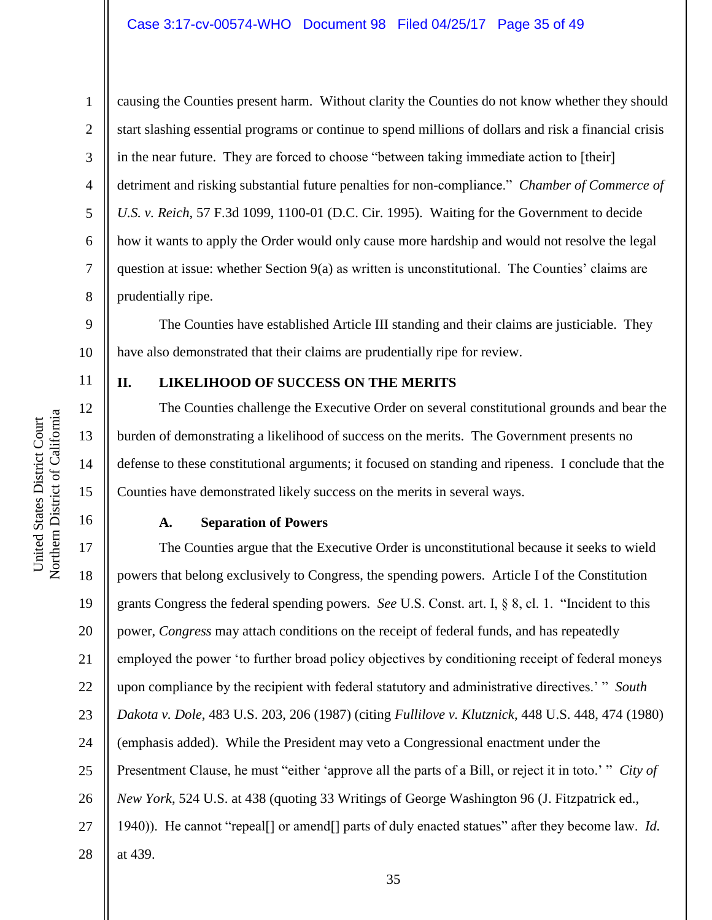### Case 3:17-cv-00574-WHO Document 98 Filed 04/25/17 Page 35 of 49

causing the Counties present harm. Without clarity the Counties do not know whether they should start slashing essential programs or continue to spend millions of dollars and risk a financial crisis in the near future. They are forced to choose "between taking immediate action to [their] detriment and risking substantial future penalties for non-compliance." *Chamber of Commerce of U.S. v. Reich*, 57 F.3d 1099, 1100-01 (D.C. Cir. 1995). Waiting for the Government to decide how it wants to apply the Order would only cause more hardship and would not resolve the legal question at issue: whether Section 9(a) as written is unconstitutional. The Counties' claims are prudentially ripe.

9 10 The Counties have established Article III standing and their claims are justiciable. They have also demonstrated that their claims are prudentially ripe for review.

#### 11

12

13

14

15

16

1

2

3

4

5

6

7

8

### **II. LIKELIHOOD OF SUCCESS ON THE MERITS**

The Counties challenge the Executive Order on several constitutional grounds and bear the burden of demonstrating a likelihood of success on the merits. The Government presents no defense to these constitutional arguments; it focused on standing and ripeness. I conclude that the Counties have demonstrated likely success on the merits in several ways.

#### **A. Separation of Powers**

17 18 19 20 21 22 23 24 25 26 27 28 The Counties argue that the Executive Order is unconstitutional because it seeks to wield powers that belong exclusively to Congress, the spending powers. Article I of the Constitution grants Congress the federal spending powers. *See* U.S. Const. art. I, § 8, cl. 1. "Incident to this power, *Congress* may attach conditions on the receipt of federal funds, and has repeatedly employed the power 'to further broad policy objectives by conditioning receipt of federal moneys upon compliance by the recipient with federal statutory and administrative directives.' " *South Dakota v. Dole*, 483 U.S. 203, 206 (1987) (citing *Fullilove v. Klutznick*, 448 U.S. 448, 474 (1980) (emphasis added). While the President may veto a Congressional enactment under the Presentment Clause, he must "either 'approve all the parts of a Bill, or reject it in toto.' " *City of New York*, 524 U.S. at 438 (quoting 33 Writings of George Washington 96 (J. Fitzpatrick ed., 1940)). He cannot "repeal[] or amend[] parts of duly enacted statues" after they become law. *Id.* at 439.

Northern District of California Northern District of California United States District Court United States District Court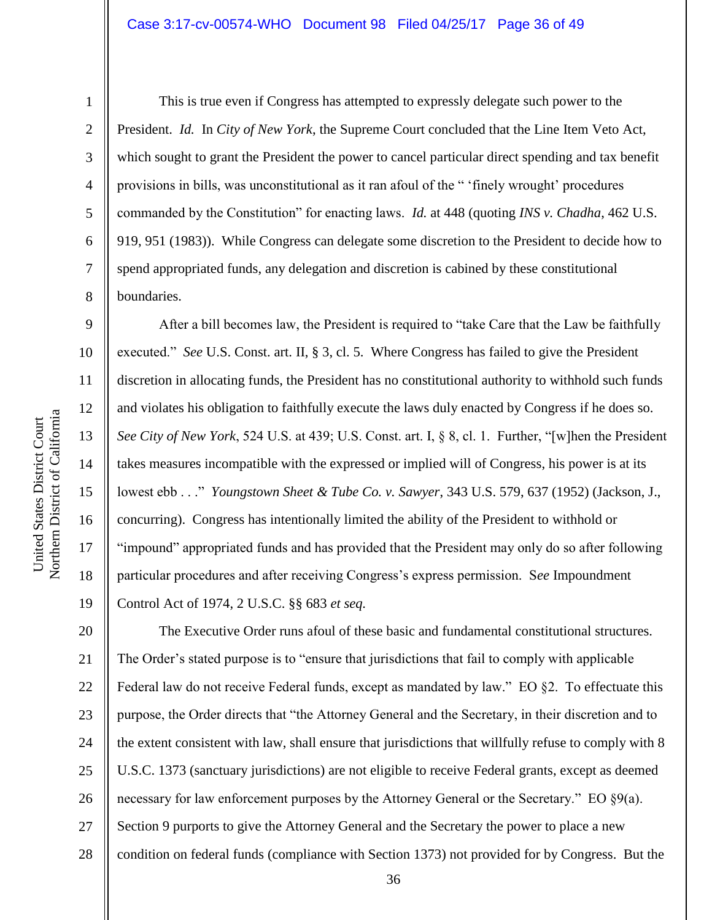#### Case 3:17-cv-00574-WHO Document 98 Filed 04/25/17 Page 36 of 49

1

2

3

4

5

6

7

8

9

10

11

12

13

14

15

16

17

18

19

This is true even if Congress has attempted to expressly delegate such power to the President. *Id.* In *City of New York*, the Supreme Court concluded that the Line Item Veto Act, which sought to grant the President the power to cancel particular direct spending and tax benefit provisions in bills, was unconstitutional as it ran afoul of the " 'finely wrought' procedures commanded by the Constitution" for enacting laws. *Id.* at 448 (quoting *INS v. Chadha*, 462 U.S. 919, 951 (1983)). While Congress can delegate some discretion to the President to decide how to spend appropriated funds, any delegation and discretion is cabined by these constitutional boundaries.

After a bill becomes law, the President is required to "take Care that the Law be faithfully executed." *See* U.S. Const. art. II, § 3, cl. 5. Where Congress has failed to give the President discretion in allocating funds, the President has no constitutional authority to withhold such funds and violates his obligation to faithfully execute the laws duly enacted by Congress if he does so. *See City of New York*, 524 U.S. at 439; U.S. Const. art. I, § 8, cl. 1. Further, "[w]hen the President takes measures incompatible with the expressed or implied will of Congress, his power is at its lowest ebb . . ." *Youngstown Sheet & Tube Co. v. Sawyer*, 343 U.S. 579, 637 (1952) (Jackson, J., concurring). Congress has intentionally limited the ability of the President to withhold or "impound" appropriated funds and has provided that the President may only do so after following particular procedures and after receiving Congress's express permission. S*ee* Impoundment Control Act of 1974, 2 U.S.C. §§ 683 *et seq.*

20 21 22 23 24 25 26 27 28 The Executive Order runs afoul of these basic and fundamental constitutional structures. The Order's stated purpose is to "ensure that jurisdictions that fail to comply with applicable Federal law do not receive Federal funds, except as mandated by law." EO §2. To effectuate this purpose, the Order directs that "the Attorney General and the Secretary, in their discretion and to the extent consistent with law, shall ensure that jurisdictions that willfully refuse to comply with 8 U.S.C. 1373 (sanctuary jurisdictions) are not eligible to receive Federal grants, except as deemed necessary for law enforcement purposes by the Attorney General or the Secretary." EO  $\S9(a)$ . Section 9 purports to give the Attorney General and the Secretary the power to place a new condition on federal funds (compliance with Section 1373) not provided for by Congress. But the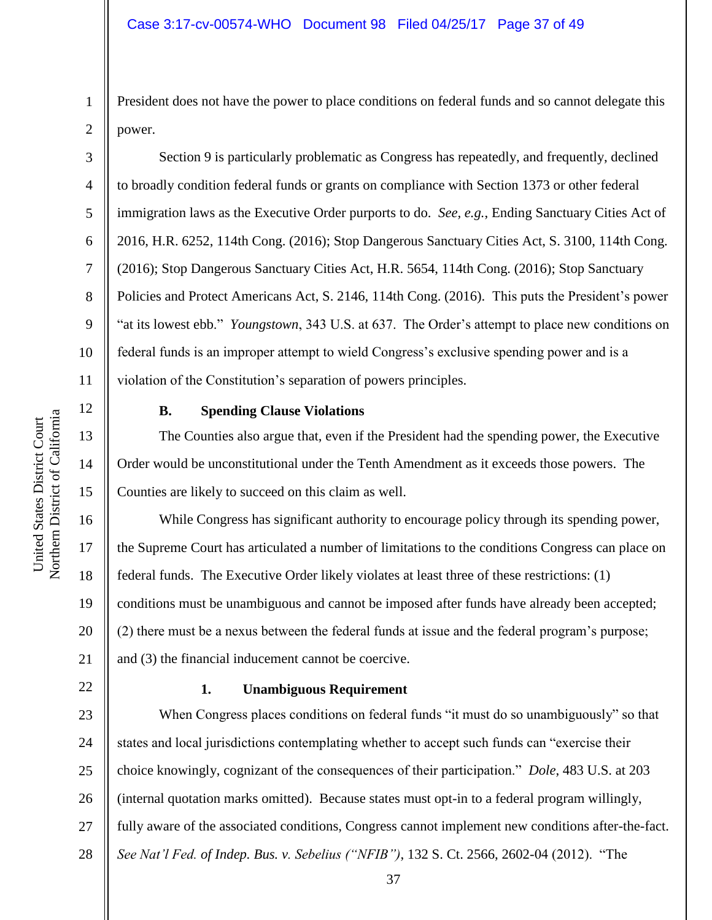President does not have the power to place conditions on federal funds and so cannot delegate this power.

Section 9 is particularly problematic as Congress has repeatedly, and frequently, declined to broadly condition federal funds or grants on compliance with Section 1373 or other federal immigration laws as the Executive Order purports to do. *See, e.g.*, Ending Sanctuary Cities Act of 2016, H.R. 6252, 114th Cong. (2016); Stop Dangerous Sanctuary Cities Act, S. 3100, 114th Cong. (2016); Stop Dangerous Sanctuary Cities Act, H.R. 5654, 114th Cong. (2016); Stop Sanctuary Policies and Protect Americans Act, S. 2146, 114th Cong. (2016). This puts the President's power "at its lowest ebb." *Youngstown*, 343 U.S. at 637. The Order's attempt to place new conditions on federal funds is an improper attempt to wield Congress's exclusive spending power and is a violation of the Constitution's separation of powers principles.

12 13

14

15

United States District Court Northern District of California

Northern District of California United States District Court

17

18

19

21

22

1

2

3

4

5

6

7

8

9

10

11

# **B. Spending Clause Violations**

The Counties also argue that, even if the President had the spending power, the Executive Order would be unconstitutional under the Tenth Amendment as it exceeds those powers. The Counties are likely to succeed on this claim as well.

16 20 While Congress has significant authority to encourage policy through its spending power, the Supreme Court has articulated a number of limitations to the conditions Congress can place on federal funds. The Executive Order likely violates at least three of these restrictions: (1) conditions must be unambiguous and cannot be imposed after funds have already been accepted; (2) there must be a nexus between the federal funds at issue and the federal program's purpose; and (3) the financial inducement cannot be coercive.

# **1. Unambiguous Requirement**

23 24 25 26 27 28 When Congress places conditions on federal funds "it must do so unambiguously" so that states and local jurisdictions contemplating whether to accept such funds can "exercise their choice knowingly, cognizant of the consequences of their participation." *Dole*, 483 U.S. at 203 (internal quotation marks omitted). Because states must opt-in to a federal program willingly, fully aware of the associated conditions, Congress cannot implement new conditions after-the-fact. *See Nat'l Fed. of Indep. Bus. v. Sebelius ("NFIB")*, 132 S. Ct. 2566, 2602-04 (2012). "The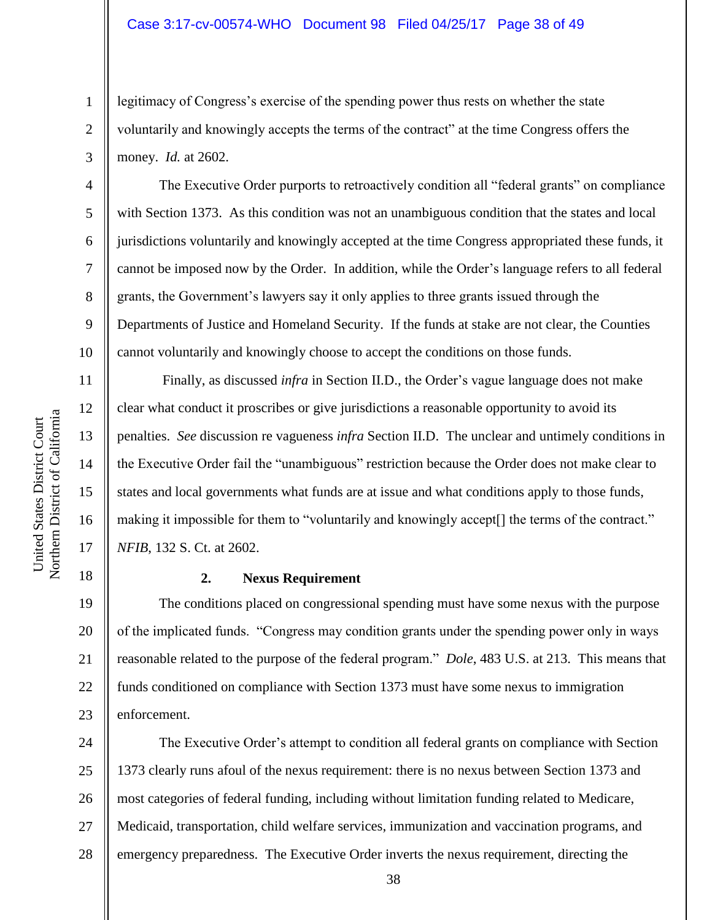#### Case 3:17-cv-00574-WHO Document 98 Filed 04/25/17 Page 38 of 49

legitimacy of Congress's exercise of the spending power thus rests on whether the state voluntarily and knowingly accepts the terms of the contract" at the time Congress offers the money. *Id.* at 2602.

The Executive Order purports to retroactively condition all "federal grants" on compliance with Section 1373. As this condition was not an unambiguous condition that the states and local jurisdictions voluntarily and knowingly accepted at the time Congress appropriated these funds, it cannot be imposed now by the Order. In addition, while the Order's language refers to all federal grants, the Government's lawyers say it only applies to three grants issued through the Departments of Justice and Homeland Security. If the funds at stake are not clear, the Counties cannot voluntarily and knowingly choose to accept the conditions on those funds.

Finally, as discussed *infra* in Section II.D., the Order's vague language does not make clear what conduct it proscribes or give jurisdictions a reasonable opportunity to avoid its penalties. *See* discussion re vagueness *infra* Section II.D. The unclear and untimely conditions in the Executive Order fail the "unambiguous" restriction because the Order does not make clear to states and local governments what funds are at issue and what conditions apply to those funds, making it impossible for them to "voluntarily and knowingly accept[] the terms of the contract." *NFIB*, 132 S. Ct. at 2602.

# **2. Nexus Requirement**

19 20 21 22 23 The conditions placed on congressional spending must have some nexus with the purpose of the implicated funds. "Congress may condition grants under the spending power only in ways reasonable related to the purpose of the federal program." *Dole*, 483 U.S. at 213. This means that funds conditioned on compliance with Section 1373 must have some nexus to immigration enforcement.

24 25 26 27 28 The Executive Order's attempt to condition all federal grants on compliance with Section 1373 clearly runs afoul of the nexus requirement: there is no nexus between Section 1373 and most categories of federal funding, including without limitation funding related to Medicare, Medicaid, transportation, child welfare services, immunization and vaccination programs, and emergency preparedness. The Executive Order inverts the nexus requirement, directing the

1

2

3

4

5

6

7

8

9

10

11

12

13

14

15

16

17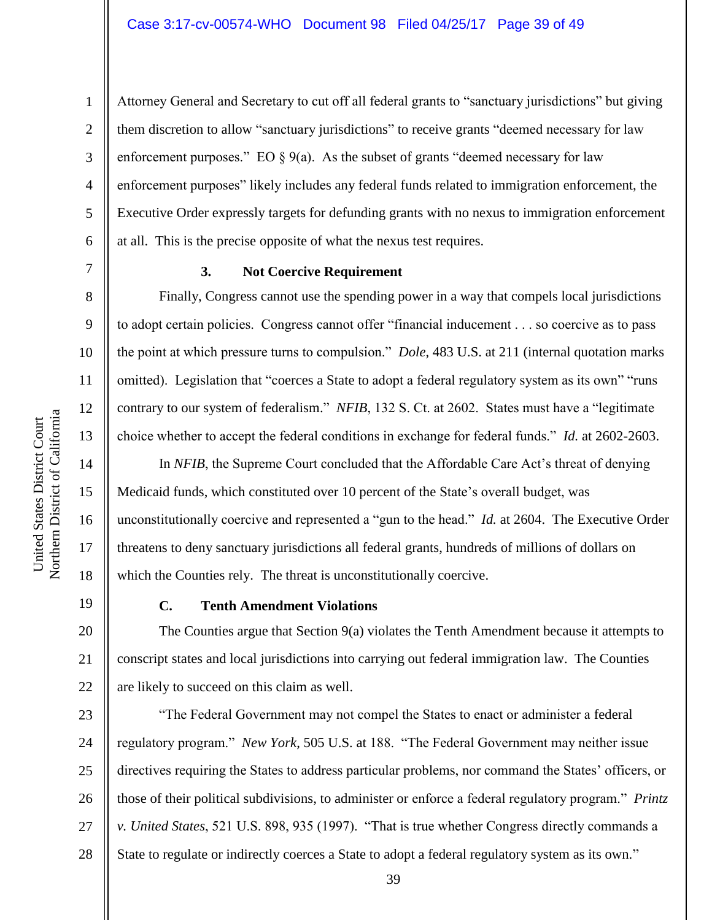1

Attorney General and Secretary to cut off all federal grants to "sanctuary jurisdictions" but giving them discretion to allow "sanctuary jurisdictions" to receive grants "deemed necessary for law enforcement purposes." EO  $\S 9(a)$ . As the subset of grants "deemed necessary for law enforcement purposes" likely includes any federal funds related to immigration enforcement, the Executive Order expressly targets for defunding grants with no nexus to immigration enforcement at all. This is the precise opposite of what the nexus test requires.

9

10

11

12

13

14

15

16

17

18

20

21

22

# **3. Not Coercive Requirement**

Finally, Congress cannot use the spending power in a way that compels local jurisdictions to adopt certain policies. Congress cannot offer "financial inducement . . . so coercive as to pass the point at which pressure turns to compulsion." *Dole*, 483 U.S. at 211 (internal quotation marks omitted). Legislation that "coerces a State to adopt a federal regulatory system as its own" "runs contrary to our system of federalism." *NFIB*, 132 S. Ct. at 2602. States must have a "legitimate choice whether to accept the federal conditions in exchange for federal funds." *Id.* at 2602-2603.

In *NFIB*, the Supreme Court concluded that the Affordable Care Act's threat of denying Medicaid funds, which constituted over 10 percent of the State's overall budget, was unconstitutionally coercive and represented a "gun to the head." *Id.* at 2604. The Executive Order threatens to deny sanctuary jurisdictions all federal grants, hundreds of millions of dollars on which the Counties rely. The threat is unconstitutionally coercive.

19

#### **C. Tenth Amendment Violations**

The Counties argue that Section 9(a) violates the Tenth Amendment because it attempts to conscript states and local jurisdictions into carrying out federal immigration law. The Counties are likely to succeed on this claim as well.

23 24 25 26 27 28 "The Federal Government may not compel the States to enact or administer a federal regulatory program." *New York*, 505 U.S. at 188. "The Federal Government may neither issue directives requiring the States to address particular problems, nor command the States' officers, or those of their political subdivisions, to administer or enforce a federal regulatory program." *Printz v. United States*, 521 U.S. 898, 935 (1997). "That is true whether Congress directly commands a State to regulate or indirectly coerces a State to adopt a federal regulatory system as its own."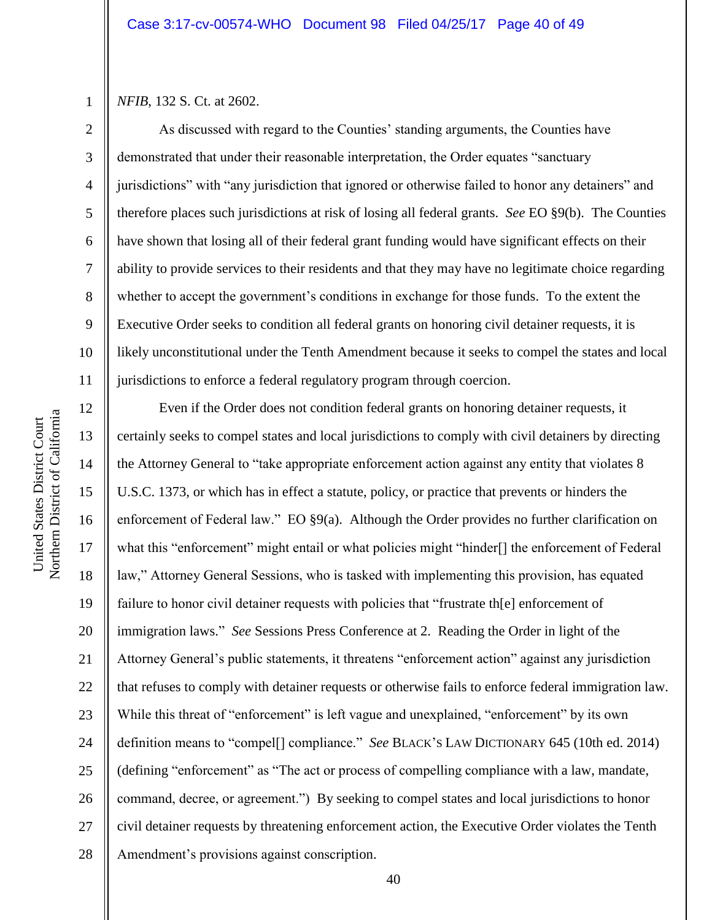*NFIB*, 132 S. Ct. at 2602.

1

2

3

4

5

8

9

11

6 7 10 As discussed with regard to the Counties' standing arguments, the Counties have demonstrated that under their reasonable interpretation, the Order equates "sanctuary jurisdictions" with "any jurisdiction that ignored or otherwise failed to honor any detainers" and therefore places such jurisdictions at risk of losing all federal grants. *See* EO §9(b). The Counties have shown that losing all of their federal grant funding would have significant effects on their ability to provide services to their residents and that they may have no legitimate choice regarding whether to accept the government's conditions in exchange for those funds. To the extent the Executive Order seeks to condition all federal grants on honoring civil detainer requests, it is likely unconstitutional under the Tenth Amendment because it seeks to compel the states and local jurisdictions to enforce a federal regulatory program through coercion.

12 13 14 15 16 17 18 19 20 21 22 23 24 25 26 27 28 Even if the Order does not condition federal grants on honoring detainer requests, it certainly seeks to compel states and local jurisdictions to comply with civil detainers by directing the Attorney General to "take appropriate enforcement action against any entity that violates 8 U.S.C. 1373, or which has in effect a statute, policy, or practice that prevents or hinders the enforcement of Federal law." EO  $\S9(a)$ . Although the Order provides no further clarification on what this "enforcement" might entail or what policies might "hinder[] the enforcement of Federal law," Attorney General Sessions, who is tasked with implementing this provision, has equated failure to honor civil detainer requests with policies that "frustrate the electron of immigration laws." *See* Sessions Press Conference at 2. Reading the Order in light of the Attorney General's public statements, it threatens "enforcement action" against any jurisdiction that refuses to comply with detainer requests or otherwise fails to enforce federal immigration law. While this threat of "enforcement" is left vague and unexplained, "enforcement" by its own definition means to "compel[] compliance." *See* BLACK'S LAW DICTIONARY 645 (10th ed. 2014) (defining "enforcement" as "The act or process of compelling compliance with a law, mandate, command, decree, or agreement.") By seeking to compel states and local jurisdictions to honor civil detainer requests by threatening enforcement action, the Executive Order violates the Tenth Amendment's provisions against conscription.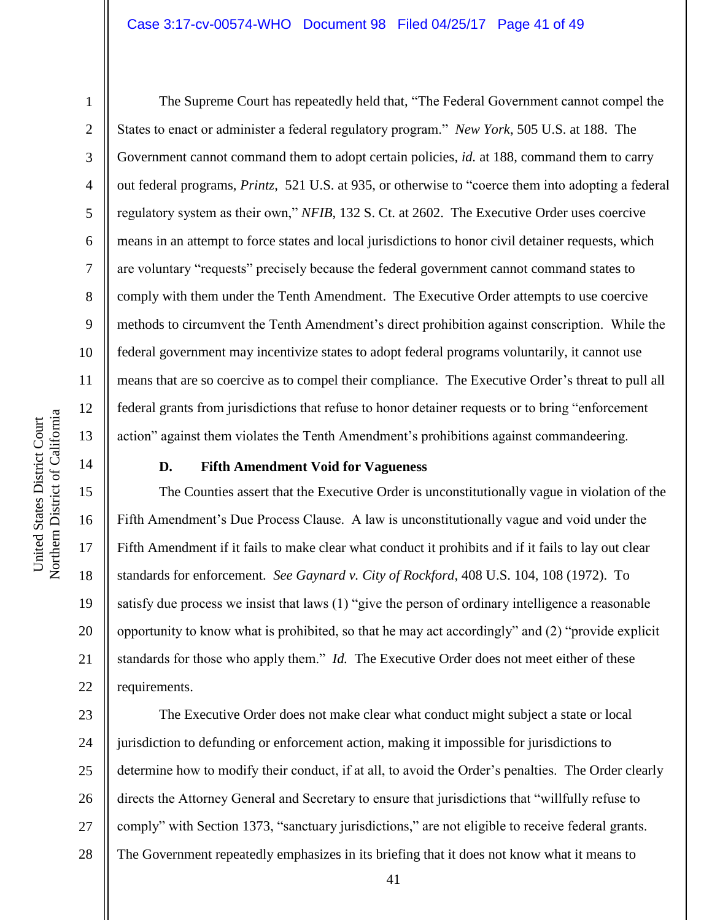#### Case 3:17-cv-00574-WHO Document 98 Filed 04/25/17 Page 41 of 49

1

2

3

4

5

6

7

8

9

10

11

12

13

14

15

16

17

18

19

20

21

22

The Supreme Court has repeatedly held that, "The Federal Government cannot compel the States to enact or administer a federal regulatory program." *New York*, 505 U.S. at 188. The Government cannot command them to adopt certain policies, *id.* at 188, command them to carry out federal programs, *Printz*, 521 U.S. at 935, or otherwise to "coerce them into adopting a federal regulatory system as their own," *NFIB*, 132 S. Ct. at 2602. The Executive Order uses coercive means in an attempt to force states and local jurisdictions to honor civil detainer requests, which are voluntary "requests" precisely because the federal government cannot command states to comply with them under the Tenth Amendment. The Executive Order attempts to use coercive methods to circumvent the Tenth Amendment's direct prohibition against conscription. While the federal government may incentivize states to adopt federal programs voluntarily, it cannot use means that are so coercive as to compel their compliance. The Executive Order's threat to pull all federal grants from jurisdictions that refuse to honor detainer requests or to bring "enforcement action" against them violates the Tenth Amendment's prohibitions against commandeering.

# **D. Fifth Amendment Void for Vagueness**

The Counties assert that the Executive Order is unconstitutionally vague in violation of the Fifth Amendment's Due Process Clause. A law is unconstitutionally vague and void under the Fifth Amendment if it fails to make clear what conduct it prohibits and if it fails to lay out clear standards for enforcement. *See Gaynard v. City of Rockford*, 408 U.S. 104, 108 (1972). To satisfy due process we insist that laws (1) "give the person of ordinary intelligence a reasonable opportunity to know what is prohibited, so that he may act accordingly" and (2) "provide explicit standards for those who apply them." *Id.* The Executive Order does not meet either of these requirements.

23 24 25 26 27 28 The Executive Order does not make clear what conduct might subject a state or local jurisdiction to defunding or enforcement action, making it impossible for jurisdictions to determine how to modify their conduct, if at all, to avoid the Order's penalties. The Order clearly directs the Attorney General and Secretary to ensure that jurisdictions that "willfully refuse to comply" with Section 1373, "sanctuary jurisdictions," are not eligible to receive federal grants. The Government repeatedly emphasizes in its briefing that it does not know what it means to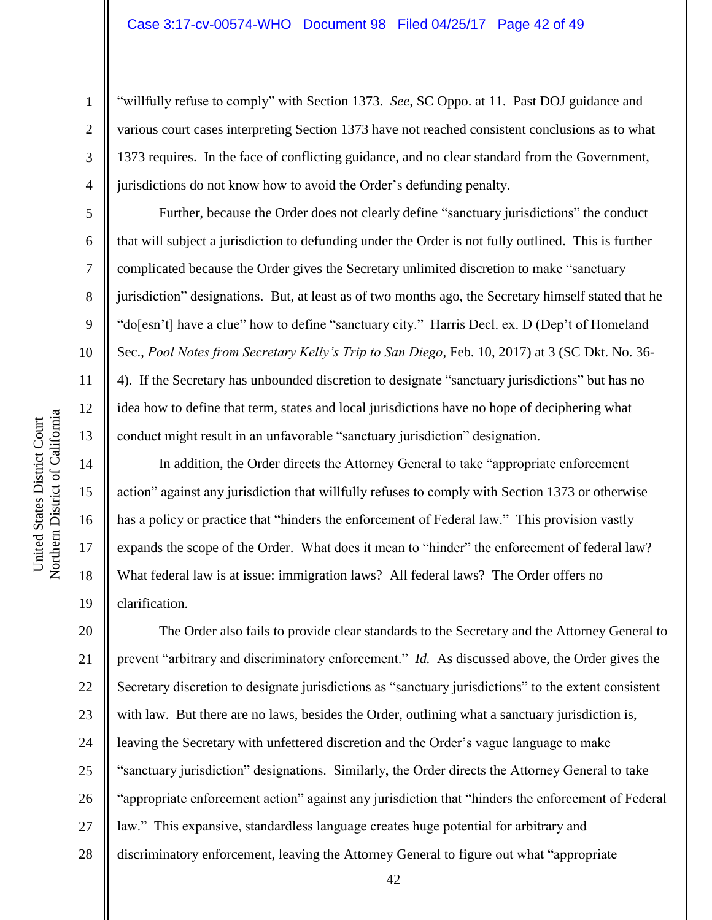"willfully refuse to comply" with Section 1373. *See,* SC Oppo. at 11. Past DOJ guidance and various court cases interpreting Section 1373 have not reached consistent conclusions as to what 1373 requires. In the face of conflicting guidance, and no clear standard from the Government, jurisdictions do not know how to avoid the Order's defunding penalty.

Further, because the Order does not clearly define "sanctuary jurisdictions" the conduct that will subject a jurisdiction to defunding under the Order is not fully outlined. This is further complicated because the Order gives the Secretary unlimited discretion to make "sanctuary jurisdiction" designations. But, at least as of two months ago, the Secretary himself stated that he "do[esn't] have a clue" how to define "sanctuary city." Harris Decl. ex. D (Dep't of Homeland Sec., *Pool Notes from Secretary Kelly's Trip to San Diego*, Feb. 10, 2017) at 3 (SC Dkt. No. 36- 4). If the Secretary has unbounded discretion to designate "sanctuary jurisdictions" but has no idea how to define that term, states and local jurisdictions have no hope of deciphering what conduct might result in an unfavorable "sanctuary jurisdiction" designation.

In addition, the Order directs the Attorney General to take "appropriate enforcement action" against any jurisdiction that willfully refuses to comply with Section 1373 or otherwise has a policy or practice that "hinders the enforcement of Federal law." This provision vastly expands the scope of the Order. What does it mean to "hinder" the enforcement of federal law? What federal law is at issue: immigration laws? All federal laws? The Order offers no clarification.

20 21 22 23 24 25 26 27 28 The Order also fails to provide clear standards to the Secretary and the Attorney General to prevent "arbitrary and discriminatory enforcement." *Id.* As discussed above, the Order gives the Secretary discretion to designate jurisdictions as "sanctuary jurisdictions" to the extent consistent with law. But there are no laws, besides the Order, outlining what a sanctuary jurisdiction is, leaving the Secretary with unfettered discretion and the Order's vague language to make "sanctuary jurisdiction" designations. Similarly, the Order directs the Attorney General to take "appropriate enforcement action" against any jurisdiction that "hinders the enforcement of Federal law." This expansive, standardless language creates huge potential for arbitrary and discriminatory enforcement, leaving the Attorney General to figure out what "appropriate

1

2

3

4

5

6

7

8

9

10

11

12

13

14

15

16

17

18

19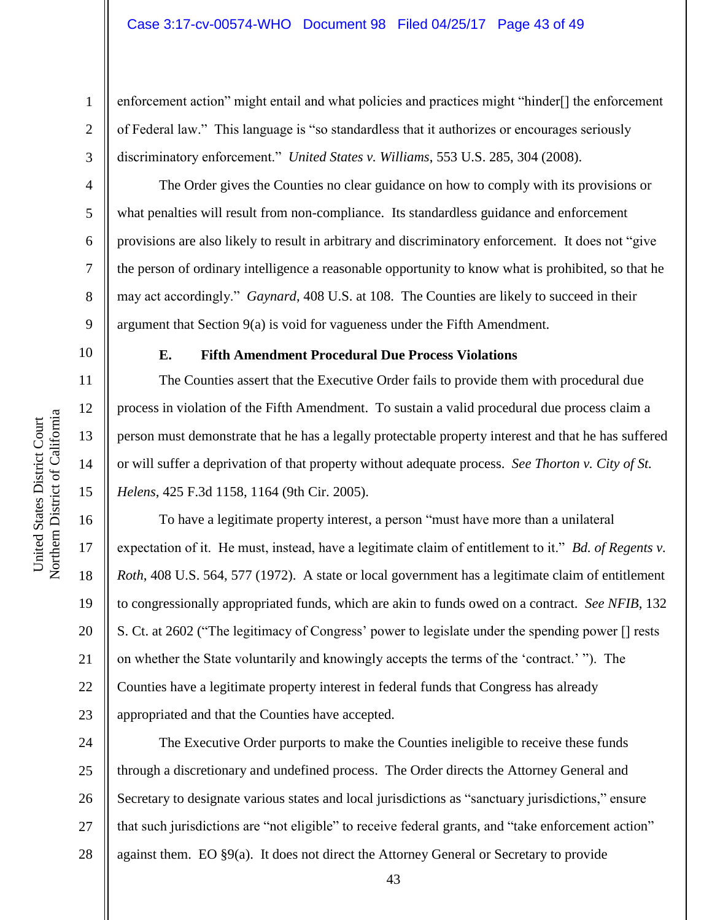enforcement action" might entail and what policies and practices might "hinder[] the enforcement of Federal law." This language is "so standardless that it authorizes or encourages seriously discriminatory enforcement." *United States v. Williams*, 553 U.S. 285, 304 (2008).

The Order gives the Counties no clear guidance on how to comply with its provisions or what penalties will result from non-compliance. Its standardless guidance and enforcement provisions are also likely to result in arbitrary and discriminatory enforcement. It does not "give the person of ordinary intelligence a reasonable opportunity to know what is prohibited, so that he may act accordingly." *Gaynard*, 408 U.S. at 108. The Counties are likely to succeed in their argument that Section 9(a) is void for vagueness under the Fifth Amendment.

10

1

2

3

4

5

6

7

8

9

11

12

13

14

15

16

17

18

19

20

21

22

23

## **E. Fifth Amendment Procedural Due Process Violations**

The Counties assert that the Executive Order fails to provide them with procedural due process in violation of the Fifth Amendment. To sustain a valid procedural due process claim a person must demonstrate that he has a legally protectable property interest and that he has suffered or will suffer a deprivation of that property without adequate process. *See Thorton v. City of St. Helens*, 425 F.3d 1158, 1164 (9th Cir. 2005).

To have a legitimate property interest, a person "must have more than a unilateral expectation of it. He must, instead, have a legitimate claim of entitlement to it." *Bd. of Regents v. Roth*, 408 U.S. 564, 577 (1972). A state or local government has a legitimate claim of entitlement to congressionally appropriated funds, which are akin to funds owed on a contract. *See NFIB*, 132 S. Ct. at 2602 ("The legitimacy of Congress' power to legislate under the spending power [] rests on whether the State voluntarily and knowingly accepts the terms of the 'contract.' "). The Counties have a legitimate property interest in federal funds that Congress has already appropriated and that the Counties have accepted.

24 25 26 27 28 The Executive Order purports to make the Counties ineligible to receive these funds through a discretionary and undefined process. The Order directs the Attorney General and Secretary to designate various states and local jurisdictions as "sanctuary jurisdictions," ensure that such jurisdictions are "not eligible" to receive federal grants, and "take enforcement action" against them. EO §9(a). It does not direct the Attorney General or Secretary to provide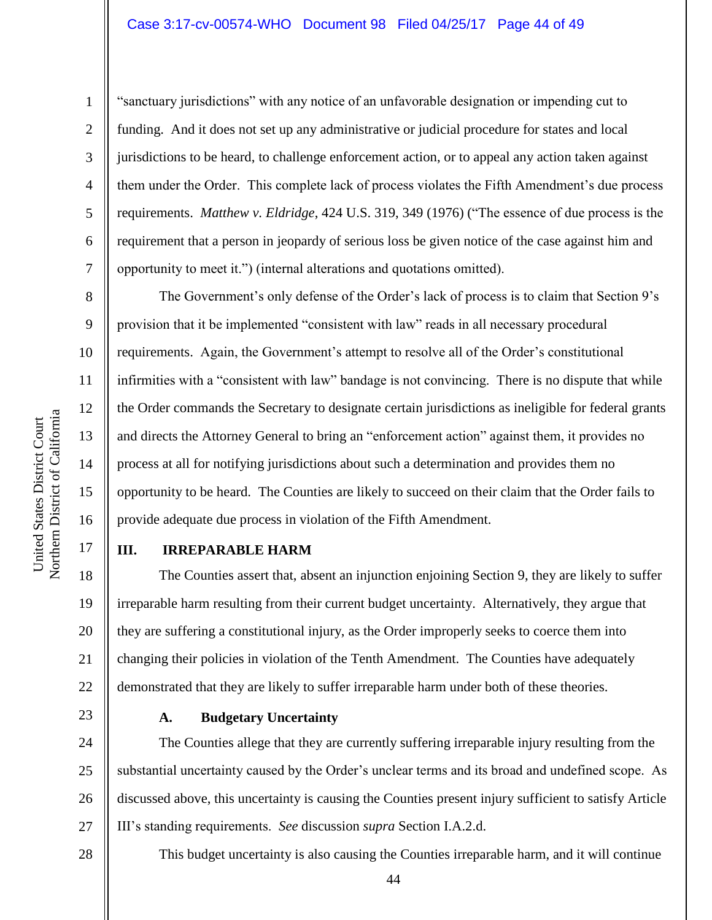#### Case 3:17-cv-00574-WHO Document 98 Filed 04/25/17 Page 44 of 49

1

2

3

4

5

6

7

8

9

10

11

12

13

14

15

16

17

"sanctuary jurisdictions" with any notice of an unfavorable designation or impending cut to funding. And it does not set up any administrative or judicial procedure for states and local jurisdictions to be heard, to challenge enforcement action, or to appeal any action taken against them under the Order. This complete lack of process violates the Fifth Amendment's due process requirements. *Matthew v. Eldridge*, 424 U.S. 319, 349 (1976) ("The essence of due process is the requirement that a person in jeopardy of serious loss be given notice of the case against him and opportunity to meet it.") (internal alterations and quotations omitted).

The Government's only defense of the Order's lack of process is to claim that Section 9's provision that it be implemented "consistent with law" reads in all necessary procedural requirements. Again, the Government's attempt to resolve all of the Order's constitutional infirmities with a "consistent with law" bandage is not convincing. There is no dispute that while the Order commands the Secretary to designate certain jurisdictions as ineligible for federal grants and directs the Attorney General to bring an "enforcement action" against them, it provides no process at all for notifying jurisdictions about such a determination and provides them no opportunity to be heard. The Counties are likely to succeed on their claim that the Order fails to provide adequate due process in violation of the Fifth Amendment.

# **III. IRREPARABLE HARM**

18 19 20 21 22 The Counties assert that, absent an injunction enjoining Section 9, they are likely to suffer irreparable harm resulting from their current budget uncertainty. Alternatively, they argue that they are suffering a constitutional injury, as the Order improperly seeks to coerce them into changing their policies in violation of the Tenth Amendment. The Counties have adequately demonstrated that they are likely to suffer irreparable harm under both of these theories.

23

# **A. Budgetary Uncertainty**

24 25 26 27 The Counties allege that they are currently suffering irreparable injury resulting from the substantial uncertainty caused by the Order's unclear terms and its broad and undefined scope. As discussed above, this uncertainty is causing the Counties present injury sufficient to satisfy Article III's standing requirements. *See* discussion *supra* Section I.A.2.d.

28

This budget uncertainty is also causing the Counties irreparable harm, and it will continue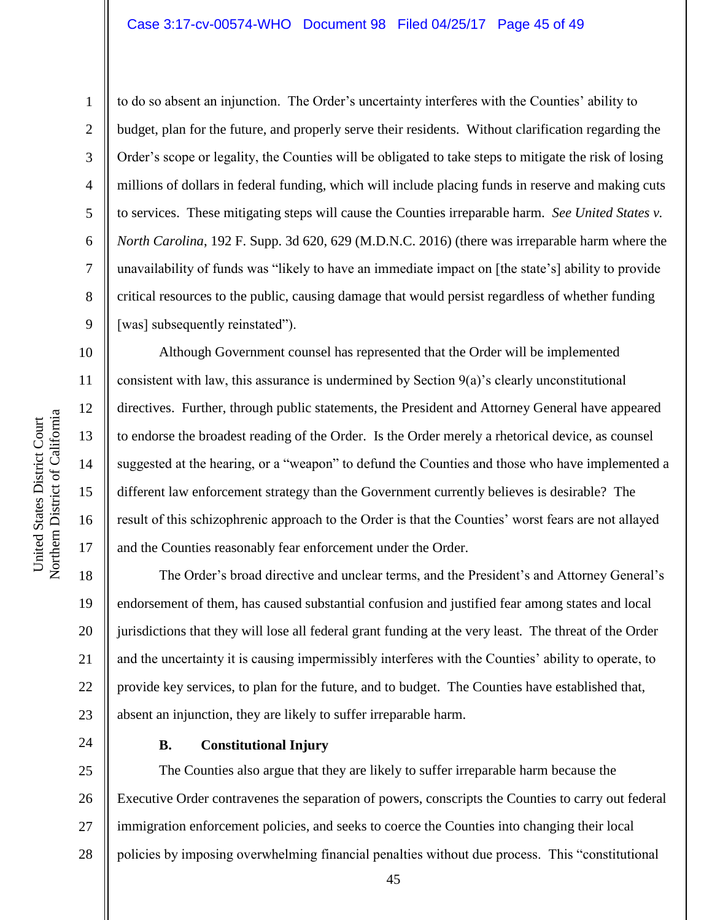#### Case 3:17-cv-00574-WHO Document 98 Filed 04/25/17 Page 45 of 49

1

2

3

4

5

6

7

8

9

10

11

12

13

14

15

16

17

to do so absent an injunction. The Order's uncertainty interferes with the Counties' ability to budget, plan for the future, and properly serve their residents. Without clarification regarding the Order's scope or legality, the Counties will be obligated to take steps to mitigate the risk of losing millions of dollars in federal funding, which will include placing funds in reserve and making cuts to services. These mitigating steps will cause the Counties irreparable harm. *See United States v. North Carolina*, 192 F. Supp. 3d 620, 629 (M.D.N.C. 2016) (there was irreparable harm where the unavailability of funds was "likely to have an immediate impact on [the state's] ability to provide critical resources to the public, causing damage that would persist regardless of whether funding [was] subsequently reinstated").

Although Government counsel has represented that the Order will be implemented consistent with law, this assurance is undermined by Section 9(a)'s clearly unconstitutional directives. Further, through public statements, the President and Attorney General have appeared to endorse the broadest reading of the Order. Is the Order merely a rhetorical device, as counsel suggested at the hearing, or a "weapon" to defund the Counties and those who have implemented a different law enforcement strategy than the Government currently believes is desirable? The result of this schizophrenic approach to the Order is that the Counties' worst fears are not allayed and the Counties reasonably fear enforcement under the Order.

18 19 20 21 22 23 The Order's broad directive and unclear terms, and the President's and Attorney General's endorsement of them, has caused substantial confusion and justified fear among states and local jurisdictions that they will lose all federal grant funding at the very least. The threat of the Order and the uncertainty it is causing impermissibly interferes with the Counties' ability to operate, to provide key services, to plan for the future, and to budget. The Counties have established that, absent an injunction, they are likely to suffer irreparable harm.

24

#### **B. Constitutional Injury**

25 26 27 28 The Counties also argue that they are likely to suffer irreparable harm because the Executive Order contravenes the separation of powers, conscripts the Counties to carry out federal immigration enforcement policies, and seeks to coerce the Counties into changing their local policies by imposing overwhelming financial penalties without due process. This "constitutional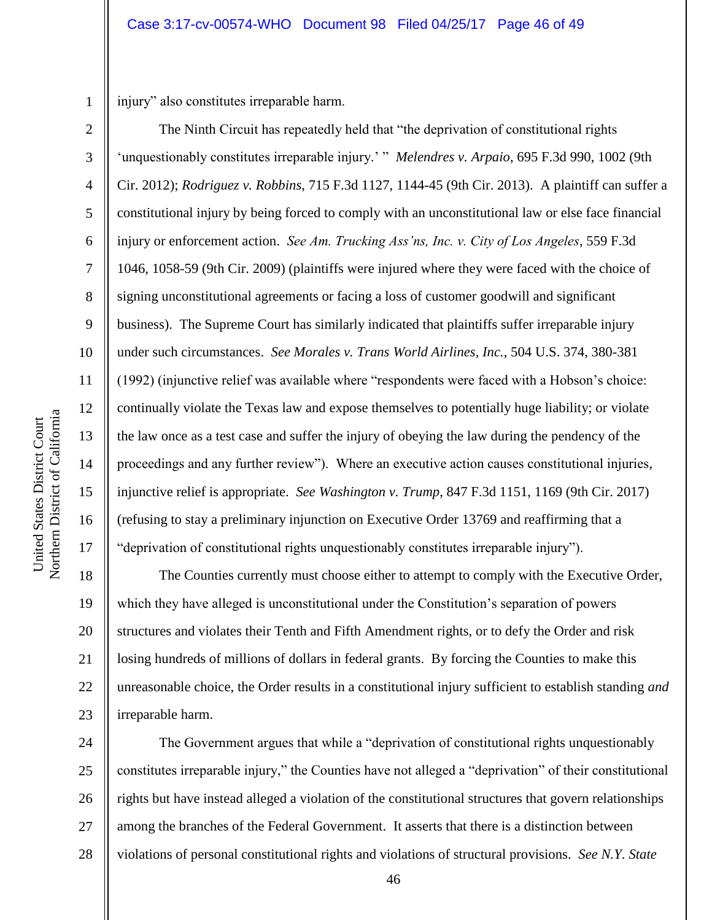1 2

3

4

5

6

7

8

9

10

11

12

13

14

15

16

17

injury" also constitutes irreparable harm.

The Ninth Circuit has repeatedly held that "the deprivation of constitutional rights 'unquestionably constitutes irreparable injury.' " *Melendres v. Arpaio*, 695 F.3d 990, 1002 (9th Cir. 2012); *Rodriguez v. Robbins*, 715 F.3d 1127, 1144-45 (9th Cir. 2013). A plaintiff can suffer a constitutional injury by being forced to comply with an unconstitutional law or else face financial injury or enforcement action. *See Am. Trucking Ass'ns, Inc. v. City of Los Angeles*, 559 F.3d 1046, 1058-59 (9th Cir. 2009) (plaintiffs were injured where they were faced with the choice of signing unconstitutional agreements or facing a loss of customer goodwill and significant business). The Supreme Court has similarly indicated that plaintiffs suffer irreparable injury under such circumstances. *See Morales v. Trans World Airlines, Inc.*, 504 U.S. 374, 380-381 (1992) (injunctive relief was available where "respondents were faced with a Hobson's choice: continually violate the Texas law and expose themselves to potentially huge liability; or violate the law once as a test case and suffer the injury of obeying the law during the pendency of the proceedings and any further review"). Where an executive action causes constitutional injuries, injunctive relief is appropriate. *See Washington v. Trump*, 847 F.3d 1151, 1169 (9th Cir. 2017) (refusing to stay a preliminary injunction on Executive Order 13769 and reaffirming that a "deprivation of constitutional rights unquestionably constitutes irreparable injury").

18 19 20 21 22 23 The Counties currently must choose either to attempt to comply with the Executive Order, which they have alleged is unconstitutional under the Constitution's separation of powers structures and violates their Tenth and Fifth Amendment rights, or to defy the Order and risk losing hundreds of millions of dollars in federal grants. By forcing the Counties to make this unreasonable choice, the Order results in a constitutional injury sufficient to establish standing *and* irreparable harm.

24 25 26 27 28 The Government argues that while a "deprivation of constitutional rights unquestionably constitutes irreparable injury," the Counties have not alleged a "deprivation" of their constitutional rights but have instead alleged a violation of the constitutional structures that govern relationships among the branches of the Federal Government. It asserts that there is a distinction between violations of personal constitutional rights and violations of structural provisions. *See N.Y. State*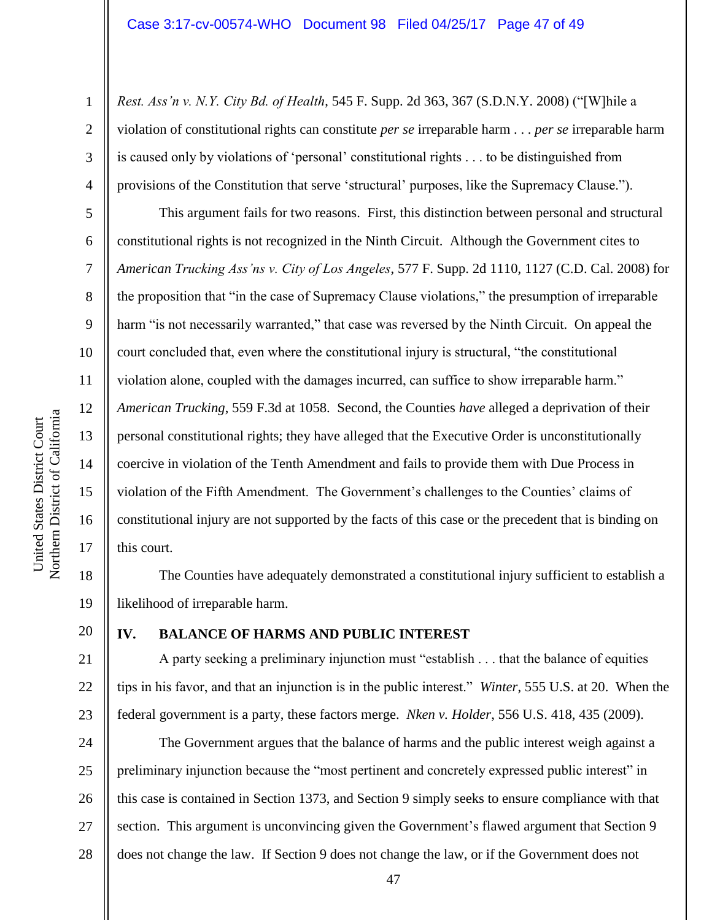*Rest. Ass'n v. N.Y. City Bd. of Health*, 545 F. Supp. 2d 363, 367 (S.D.N.Y. 2008) ("[W]hile a violation of constitutional rights can constitute *per se* irreparable harm . . . *per se* irreparable harm is caused only by violations of 'personal' constitutional rights . . . to be distinguished from provisions of the Constitution that serve 'structural' purposes, like the Supremacy Clause.").

This argument fails for two reasons. First, this distinction between personal and structural constitutional rights is not recognized in the Ninth Circuit. Although the Government cites to *American Trucking Ass'ns v. City of Los Angeles*, 577 F. Supp. 2d 1110, 1127 (C.D. Cal. 2008) for the proposition that "in the case of Supremacy Clause violations," the presumption of irreparable harm "is not necessarily warranted," that case was reversed by the Ninth Circuit. On appeal the court concluded that, even where the constitutional injury is structural, "the constitutional violation alone, coupled with the damages incurred, can suffice to show irreparable harm." *American Trucking*, 559 F.3d at 1058. Second, the Counties *have* alleged a deprivation of their personal constitutional rights; they have alleged that the Executive Order is unconstitutionally coercive in violation of the Tenth Amendment and fails to provide them with Due Process in violation of the Fifth Amendment. The Government's challenges to the Counties' claims of constitutional injury are not supported by the facts of this case or the precedent that is binding on this court.

18 19 The Counties have adequately demonstrated a constitutional injury sufficient to establish a likelihood of irreparable harm.

# 20 21

1

2

3

4

5

6

7

8

9

10

11

12

13

14

15

16

17

# **IV. BALANCE OF HARMS AND PUBLIC INTEREST**

22 23 A party seeking a preliminary injunction must "establish . . . that the balance of equities tips in his favor, and that an injunction is in the public interest." *Winter*, 555 U.S. at 20. When the federal government is a party, these factors merge. *Nken v. Holder*, 556 U.S. 418, 435 (2009).

24 25 26 27 28 The Government argues that the balance of harms and the public interest weigh against a preliminary injunction because the "most pertinent and concretely expressed public interest" in this case is contained in Section 1373, and Section 9 simply seeks to ensure compliance with that section. This argument is unconvincing given the Government's flawed argument that Section 9 does not change the law. If Section 9 does not change the law, or if the Government does not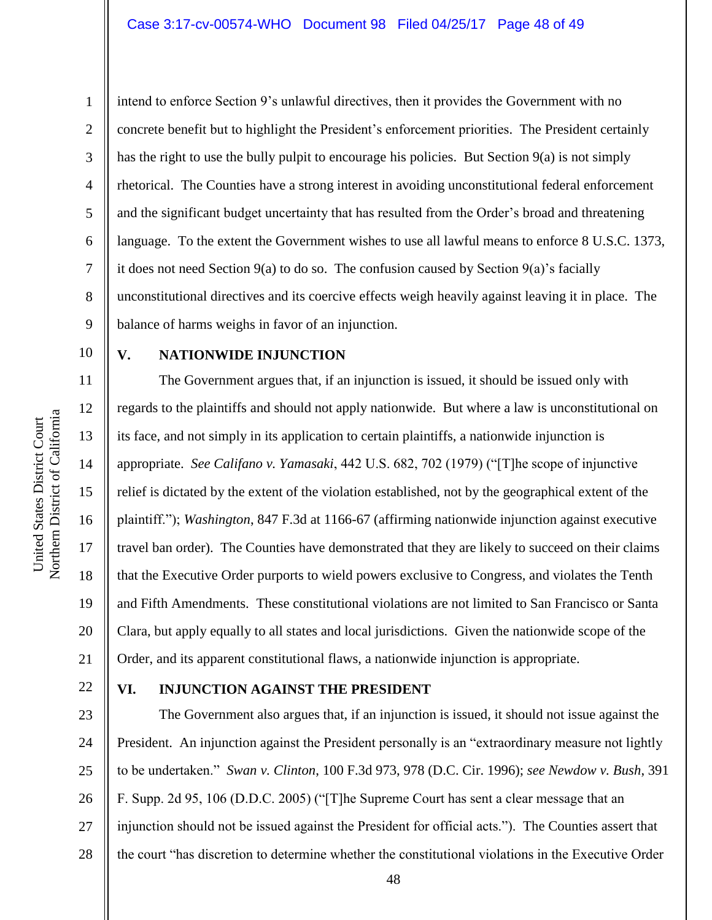intend to enforce Section 9's unlawful directives, then it provides the Government with no concrete benefit but to highlight the President's enforcement priorities. The President certainly has the right to use the bully pulpit to encourage his policies. But Section 9(a) is not simply rhetorical. The Counties have a strong interest in avoiding unconstitutional federal enforcement and the significant budget uncertainty that has resulted from the Order's broad and threatening language. To the extent the Government wishes to use all lawful means to enforce 8 U.S.C. 1373, it does not need Section 9(a) to do so. The confusion caused by Section 9(a)'s facially unconstitutional directives and its coercive effects weigh heavily against leaving it in place. The balance of harms weighs in favor of an injunction.

10 11

12

13

14

15

16

17

18

19

20

21

1

2

3

4

5

6

7

8

9

# **V. NATIONWIDE INJUNCTION**

The Government argues that, if an injunction is issued, it should be issued only with regards to the plaintiffs and should not apply nationwide. But where a law is unconstitutional on its face, and not simply in its application to certain plaintiffs, a nationwide injunction is appropriate. *See Califano v. Yamasaki*, 442 U.S. 682, 702 (1979) ("[T]he scope of injunctive relief is dictated by the extent of the violation established, not by the geographical extent of the plaintiff."); *Washington*, 847 F.3d at 1166-67 (affirming nationwide injunction against executive travel ban order). The Counties have demonstrated that they are likely to succeed on their claims that the Executive Order purports to wield powers exclusive to Congress, and violates the Tenth and Fifth Amendments. These constitutional violations are not limited to San Francisco or Santa Clara, but apply equally to all states and local jurisdictions. Given the nationwide scope of the Order, and its apparent constitutional flaws, a nationwide injunction is appropriate.

22

# **VI. INJUNCTION AGAINST THE PRESIDENT**

23 24 25 26 27 28 The Government also argues that, if an injunction is issued, it should not issue against the President. An injunction against the President personally is an "extraordinary measure not lightly to be undertaken." *Swan v. Clinton*, 100 F.3d 973, 978 (D.C. Cir. 1996); *see Newdow v. Bush*, 391 F. Supp. 2d 95, 106 (D.D.C. 2005) ("[T]he Supreme Court has sent a clear message that an injunction should not be issued against the President for official acts."). The Counties assert that the court "has discretion to determine whether the constitutional violations in the Executive Order

Northern District of California Northern District of California United States District Court United States District Court